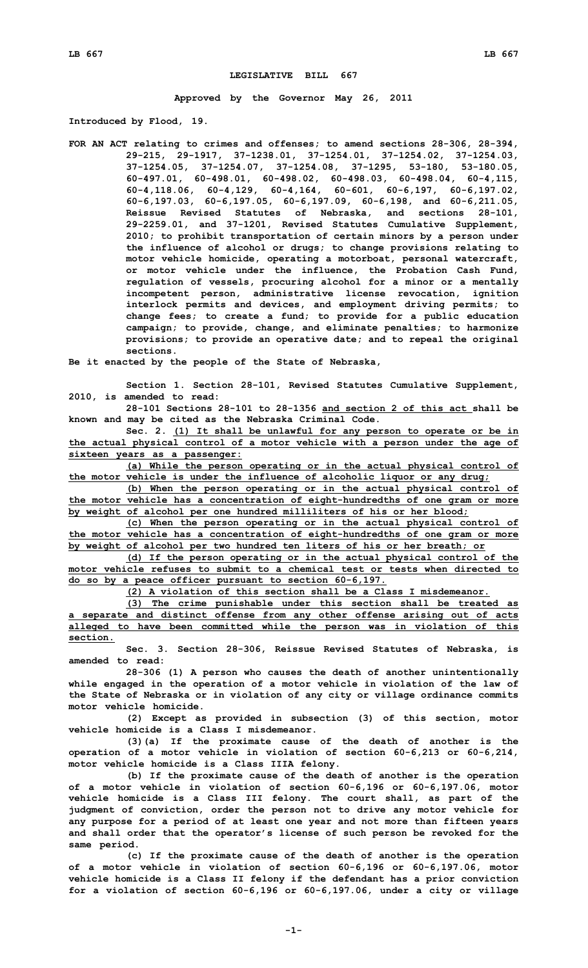## **LEGISLATIVE BILL 667**

**Approved by the Governor May 26, 2011**

**Introduced by Flood, 19.**

**FOR AN ACT relating to crimes and offenses; to amend sections 28-306, 28-394, 29-215, 29-1917, 37-1238.01, 37-1254.01, 37-1254.02, 37-1254.03, 37-1254.05, 37-1254.07, 37-1254.08, 37-1295, 53-180, 53-180.05, 60-497.01, 60-498.01, 60-498.02, 60-498.03, 60-498.04, 60-4,115, 60-4,118.06, 60-4,129, 60-4,164, 60-601, 60-6,197, 60-6,197.02, 60-6,197.03, 60-6,197.05, 60-6,197.09, 60-6,198, and 60-6,211.05, Reissue Revised Statutes of Nebraska, and sections 28-101, 29-2259.01, and 37-1201, Revised Statutes Cumulative Supplement, 2010; to prohibit transportation of certain minors by <sup>a</sup> person under the influence of alcohol or drugs; to change provisions relating to motor vehicle homicide, operating <sup>a</sup> motorboat, personal watercraft, or motor vehicle under the influence, the Probation Cash Fund, regulation of vessels, procuring alcohol for <sup>a</sup> minor or <sup>a</sup> mentally incompetent person, administrative license revocation, ignition interlock permits and devices, and employment driving permits; to change fees; to create <sup>a</sup> fund; to provide for <sup>a</sup> public education campaign; to provide, change, and eliminate penalties; to harmonize provisions; to provide an operative date; and to repeal the original sections.**

**Be it enacted by the people of the State of Nebraska,**

**Section 1. Section 28-101, Revised Statutes Cumulative Supplement, 2010, is amended to read:**

**28-101 Sections 28-101 to 28-1356 and section 2 of this act shall be known and may be cited as the Nebraska Criminal Code.**

**Sec. 2. (1) It shall be unlawful for any person to operate or be in the actual physical control of <sup>a</sup> motor vehicle with <sup>a</sup> person under the age of sixteen years as <sup>a</sup> passenger:**

**(a) While the person operating or in the actual physical control of the motor vehicle is under the influence of alcoholic liquor or any drug;**

**(b) When the person operating or in the actual physical control of the motor vehicle has <sup>a</sup> concentration of eight-hundredths of one gram or more by weight of alcohol per one hundred milliliters of his or her blood;**

**(c) When the person operating or in the actual physical control of the motor vehicle has <sup>a</sup> concentration of eight-hundredths of one gram or more by weight of alcohol per two hundred ten liters of his or her breath; or**

**(d) If the person operating or in the actual physical control of the motor vehicle refuses to submit to a chemical test or tests when directed to do so by <sup>a</sup> peace officer pursuant to section 60-6,197.**

**(2) A violation of this section shall be <sup>a</sup> Class I misdemeanor.**

**(3) The crime punishable under this section shall be treated as <sup>a</sup> separate and distinct offense from any other offense arising out of acts alleged to have been committed while the person was in violation of this section.**

**Sec. 3. Section 28-306, Reissue Revised Statutes of Nebraska, is amended to read:**

**28-306 (1) <sup>A</sup> person who causes the death of another unintentionally while engaged in the operation of <sup>a</sup> motor vehicle in violation of the law of the State of Nebraska or in violation of any city or village ordinance commits motor vehicle homicide.**

**(2) Except as provided in subsection (3) of this section, motor vehicle homicide is a Class I misdemeanor.**

**(3)(a) If the proximate cause of the death of another is the operation of <sup>a</sup> motor vehicle in violation of section 60-6,213 or 60-6,214, motor vehicle homicide is <sup>a</sup> Class IIIA felony.**

**(b) If the proximate cause of the death of another is the operation of <sup>a</sup> motor vehicle in violation of section 60-6,196 or 60-6,197.06, motor vehicle homicide is <sup>a</sup> Class III felony. The court shall, as part of the judgment of conviction, order the person not to drive any motor vehicle for any purpose for <sup>a</sup> period of at least one year and not more than fifteen years and shall order that the operator's license of such person be revoked for the same period.**

**(c) If the proximate cause of the death of another is the operation of <sup>a</sup> motor vehicle in violation of section 60-6,196 or 60-6,197.06, motor vehicle homicide is <sup>a</sup> Class II felony if the defendant has <sup>a</sup> prior conviction for <sup>a</sup> violation of section 60-6,196 or 60-6,197.06, under <sup>a</sup> city or village**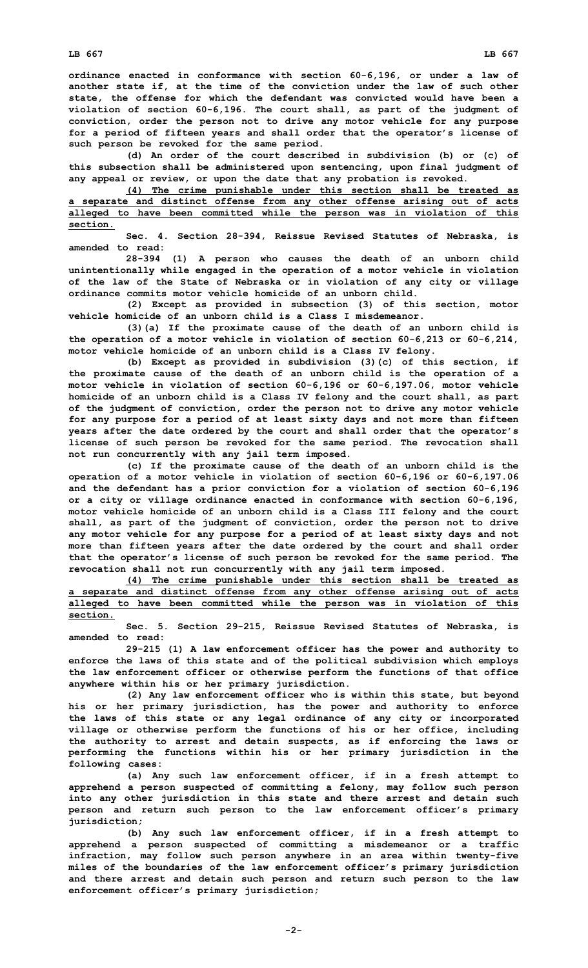**ordinance enacted in conformance with section 60-6,196, or under <sup>a</sup> law of another state if, at the time of the conviction under the law of such other state, the offense for which the defendant was convicted would have been <sup>a</sup> violation of section 60-6,196. The court shall, as part of the judgment of conviction, order the person not to drive any motor vehicle for any purpose for <sup>a</sup> period of fifteen years and shall order that the operator's license of such person be revoked for the same period.**

**(d) An order of the court described in subdivision (b) or (c) of this subsection shall be administered upon sentencing, upon final judgment of any appeal or review, or upon the date that any probation is revoked.**

|          |  | (4) The crime punishable under this section shall be treated as            |  |  |  |  |  |
|----------|--|----------------------------------------------------------------------------|--|--|--|--|--|
|          |  | a separate and distinct offense from any other offense arising out of acts |  |  |  |  |  |
|          |  | alleged to have been committed while the person was in violation of this   |  |  |  |  |  |
| section. |  |                                                                            |  |  |  |  |  |

**Sec. 4. Section 28-394, Reissue Revised Statutes of Nebraska, is amended to read:**

**28-394 (1) <sup>A</sup> person who causes the death of an unborn child unintentionally while engaged in the operation of <sup>a</sup> motor vehicle in violation of the law of the State of Nebraska or in violation of any city or village ordinance commits motor vehicle homicide of an unborn child.**

**(2) Except as provided in subsection (3) of this section, motor vehicle homicide of an unborn child is a Class I misdemeanor.**

**(3)(a) If the proximate cause of the death of an unborn child is the operation of <sup>a</sup> motor vehicle in violation of section 60-6,213 or 60-6,214, motor vehicle homicide of an unborn child is <sup>a</sup> Class IV felony.**

**(b) Except as provided in subdivision (3)(c) of this section, if the proximate cause of the death of an unborn child is the operation of <sup>a</sup> motor vehicle in violation of section 60-6,196 or 60-6,197.06, motor vehicle homicide of an unborn child is <sup>a</sup> Class IV felony and the court shall, as part of the judgment of conviction, order the person not to drive any motor vehicle for any purpose for <sup>a</sup> period of at least sixty days and not more than fifteen years after the date ordered by the court and shall order that the operator's license of such person be revoked for the same period. The revocation shall not run concurrently with any jail term imposed.**

**(c) If the proximate cause of the death of an unborn child is the operation of <sup>a</sup> motor vehicle in violation of section 60-6,196 or 60-6,197.06 and the defendant has <sup>a</sup> prior conviction for <sup>a</sup> violation of section 60-6,196 or <sup>a</sup> city or village ordinance enacted in conformance with section 60-6,196, motor vehicle homicide of an unborn child is <sup>a</sup> Class III felony and the court shall, as part of the judgment of conviction, order the person not to drive any motor vehicle for any purpose for <sup>a</sup> period of at least sixty days and not more than fifteen years after the date ordered by the court and shall order that the operator's license of such person be revoked for the same period. The revocation shall not run concurrently with any jail term imposed.**

**(4) The crime punishable under this section shall be treated as <sup>a</sup> separate and distinct offense from any other offense arising out of acts alleged to have been committed while the person was in violation of this section.**

**Sec. 5. Section 29-215, Reissue Revised Statutes of Nebraska, is amended to read:**

**29-215 (1) <sup>A</sup> law enforcement officer has the power and authority to enforce the laws of this state and of the political subdivision which employs the law enforcement officer or otherwise perform the functions of that office anywhere within his or her primary jurisdiction.**

**(2) Any law enforcement officer who is within this state, but beyond his or her primary jurisdiction, has the power and authority to enforce the laws of this state or any legal ordinance of any city or incorporated village or otherwise perform the functions of his or her office, including the authority to arrest and detain suspects, as if enforcing the laws or performing the functions within his or her primary jurisdiction in the following cases:**

**(a) Any such law enforcement officer, if in <sup>a</sup> fresh attempt to apprehend <sup>a</sup> person suspected of committing <sup>a</sup> felony, may follow such person into any other jurisdiction in this state and there arrest and detain such person and return such person to the law enforcement officer's primary jurisdiction;**

**(b) Any such law enforcement officer, if in <sup>a</sup> fresh attempt to apprehend <sup>a</sup> person suspected of committing <sup>a</sup> misdemeanor or <sup>a</sup> traffic infraction, may follow such person anywhere in an area within twenty-five miles of the boundaries of the law enforcement officer's primary jurisdiction and there arrest and detain such person and return such person to the law enforcement officer's primary jurisdiction;**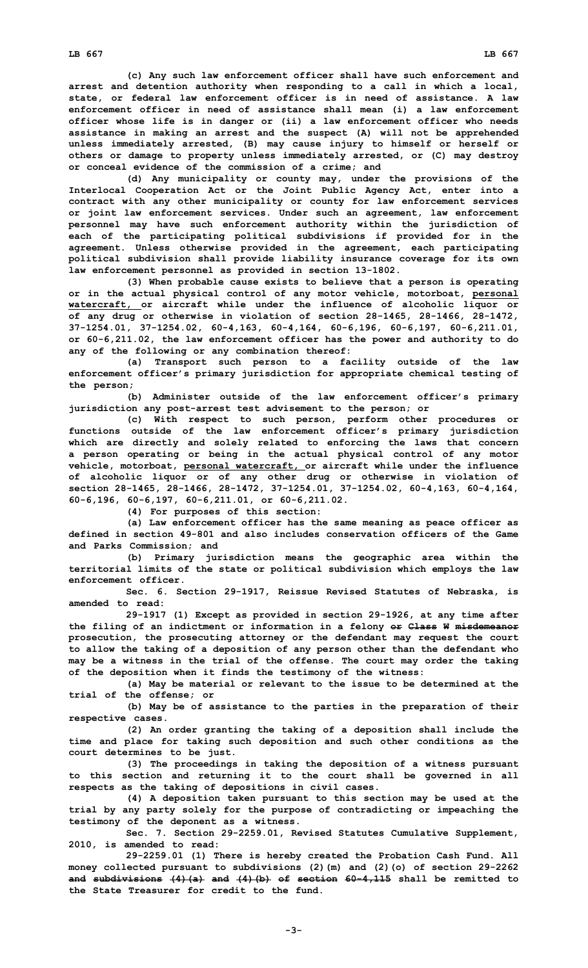**(c) Any such law enforcement officer shall have such enforcement and arrest and detention authority when responding to <sup>a</sup> call in which <sup>a</sup> local, state, or federal law enforcement officer is in need of assistance. A law enforcement officer in need of assistance shall mean (i) <sup>a</sup> law enforcement officer whose life is in danger or (ii) <sup>a</sup> law enforcement officer who needs assistance in making an arrest and the suspect (A) will not be apprehended unless immediately arrested, (B) may cause injury to himself or herself or others or damage to property unless immediately arrested, or (C) may destroy or conceal evidence of the commission of <sup>a</sup> crime; and**

**(d) Any municipality or county may, under the provisions of the Interlocal Cooperation Act or the Joint Public Agency Act, enter into <sup>a</sup> contract with any other municipality or county for law enforcement services or joint law enforcement services. Under such an agreement, law enforcement personnel may have such enforcement authority within the jurisdiction of each of the participating political subdivisions if provided for in the agreement. Unless otherwise provided in the agreement, each participating political subdivision shall provide liability insurance coverage for its own law enforcement personnel as provided in section 13-1802.**

**(3) When probable cause exists to believe that <sup>a</sup> person is operating or in the actual physical control of any motor vehicle, motorboat, personal watercraft, or aircraft while under the influence of alcoholic liquor or of any drug or otherwise in violation of section 28-1465, 28-1466, 28-1472, 37-1254.01, 37-1254.02, 60-4,163, 60-4,164, 60-6,196, 60-6,197, 60-6,211.01, or 60-6,211.02, the law enforcement officer has the power and authority to do any of the following or any combination thereof:**

**(a) Transport such person to <sup>a</sup> facility outside of the law enforcement officer's primary jurisdiction for appropriate chemical testing of the person;**

**(b) Administer outside of the law enforcement officer's primary jurisdiction any post-arrest test advisement to the person; or**

**(c) With respect to such person, perform other procedures or functions outside of the law enforcement officer's primary jurisdiction which are directly and solely related to enforcing the laws that concern <sup>a</sup> person operating or being in the actual physical control of any motor vehicle, motorboat, personal watercraft, or aircraft while under the influence of alcoholic liquor or of any other drug or otherwise in violation of section 28-1465, 28-1466, 28-1472, 37-1254.01, 37-1254.02, 60-4,163, 60-4,164, 60-6,196, 60-6,197, 60-6,211.01, or 60-6,211.02.**

**(4) For purposes of this section:**

**(a) Law enforcement officer has the same meaning as peace officer as defined in section 49-801 and also includes conservation officers of the Game and Parks Commission; and**

**(b) Primary jurisdiction means the geographic area within the territorial limits of the state or political subdivision which employs the law enforcement officer.**

**Sec. 6. Section 29-1917, Reissue Revised Statutes of Nebraska, is amended to read:**

**29-1917 (1) Except as provided in section 29-1926, at any time after the filing of an indictment or information in <sup>a</sup> felony or Class W misdemeanor prosecution, the prosecuting attorney or the defendant may request the court to allow the taking of <sup>a</sup> deposition of any person other than the defendant who may be <sup>a</sup> witness in the trial of the offense. The court may order the taking of the deposition when it finds the testimony of the witness:**

**(a) May be material or relevant to the issue to be determined at the trial of the offense; or**

**(b) May be of assistance to the parties in the preparation of their respective cases.**

**(2) An order granting the taking of <sup>a</sup> deposition shall include the time and place for taking such deposition and such other conditions as the court determines to be just.**

**(3) The proceedings in taking the deposition of <sup>a</sup> witness pursuant to this section and returning it to the court shall be governed in all respects as the taking of depositions in civil cases.**

**(4) <sup>A</sup> deposition taken pursuant to this section may be used at the trial by any party solely for the purpose of contradicting or impeaching the testimony of the deponent as <sup>a</sup> witness.**

**Sec. 7. Section 29-2259.01, Revised Statutes Cumulative Supplement, 2010, is amended to read:**

**29-2259.01 (1) There is hereby created the Probation Cash Fund. All money collected pursuant to subdivisions (2)(m) and (2)(o) of section 29-2262 and subdivisions (4)(a) and (4)(b) of section 60-4,115 shall be remitted to the State Treasurer for credit to the fund.**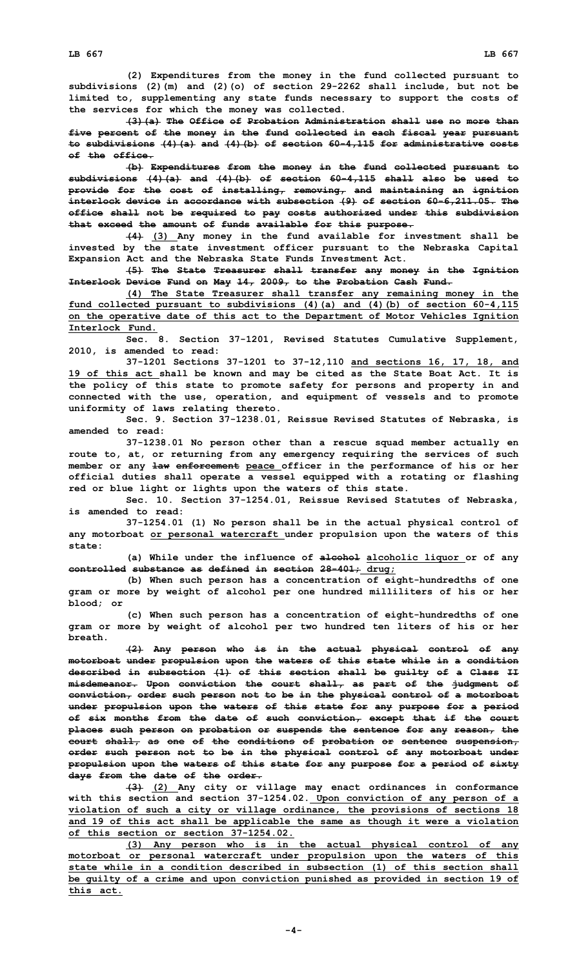**(2) Expenditures from the money in the fund collected pursuant to subdivisions (2)(m) and (2)(o) of section 29-2262 shall include, but not be limited to, supplementing any state funds necessary to support the costs of the services for which the money was collected.**

**(3)(a) The Office of Probation Administration shall use no more than five percent of the money in the fund collected in each fiscal year pursuant to subdivisions (4)(a) and (4)(b) of section 60-4,115 for administrative costs of the office.**

**(b) Expenditures from the money in the fund collected pursuant to subdivisions (4)(a) and (4)(b) of section 60-4,115 shall also be used to provide for the cost of installing, removing, and maintaining an ignition interlock device in accordance with subsection (9) of section 60-6,211.05. The office shall not be required to pay costs authorized under this subdivision that exceed the amount of funds available for this purpose.**

**(4) (3) Any money in the fund available for investment shall be invested by the state investment officer pursuant to the Nebraska Capital Expansion Act and the Nebraska State Funds Investment Act.**

**(5) The State Treasurer shall transfer any money in the Ignition Interlock Device Fund on May 14, 2009, to the Probation Cash Fund.**

**(4) The State Treasurer shall transfer any remaining money in the fund collected pursuant to subdivisions (4)(a) and (4)(b) of section 60-4,115 on the operative date of this act to the Department of Motor Vehicles Ignition Interlock Fund.**

**Sec. 8. Section 37-1201, Revised Statutes Cumulative Supplement, 2010, is amended to read:**

**37-1201 Sections 37-1201 to 37-12,110 and sections 16, 17, 18, and 19 of this act shall be known and may be cited as the State Boat Act. It is the policy of this state to promote safety for persons and property in and connected with the use, operation, and equipment of vessels and to promote uniformity of laws relating thereto.**

**Sec. 9. Section 37-1238.01, Reissue Revised Statutes of Nebraska, is amended to read:**

**37-1238.01 No person other than <sup>a</sup> rescue squad member actually en route to, at, or returning from any emergency requiring the services of such member or any law enforcement peace officer in the performance of his or her official duties shall operate <sup>a</sup> vessel equipped with <sup>a</sup> rotating or flashing red or blue light or lights upon the waters of this state.**

**Sec. 10. Section 37-1254.01, Reissue Revised Statutes of Nebraska, is amended to read:**

**37-1254.01 (1) No person shall be in the actual physical control of any motorboat or personal watercraft under propulsion upon the waters of this state:**

**(a) While under the influence of alcohol alcoholic liquor or of any controlled substance as defined in section 28-401; drug;**

**(b) When such person has <sup>a</sup> concentration of eight-hundredths of one gram or more by weight of alcohol per one hundred milliliters of his or her blood; or**

**(c) When such person has <sup>a</sup> concentration of eight-hundredths of one gram or more by weight of alcohol per two hundred ten liters of his or her breath.**

**(2) Any person who is in the actual physical control of any motorboat under propulsion upon the waters of this state while in <sup>a</sup> condition described in subsection (1) of this section shall be guilty of <sup>a</sup> Class II misdemeanor. Upon conviction the court shall, as part of the judgment of conviction, order such person not to be in the physical control of <sup>a</sup> motorboat under propulsion upon the waters of this state for any purpose for <sup>a</sup> period of six months from the date of such conviction, except that if the court places such person on probation or suspends the sentence for any reason, the court shall, as one of the conditions of probation or sentence suspension, order such person not to be in the physical control of any motorboat under propulsion upon the waters of this state for any purpose for <sup>a</sup> period of sixty days from the date of the order.**

**(3) (2) Any city or village may enact ordinances in conformance with this section and section 37-1254.02. Upon conviction of any person of <sup>a</sup> violation of such <sup>a</sup> city or village ordinance, the provisions of sections 18 and 19 of this act shall be applicable the same as though it were <sup>a</sup> violation of this section or section 37-1254.02.**

**(3) Any person who is in the actual physical control of any motorboat or personal watercraft under propulsion upon the waters of this state while in <sup>a</sup> condition described in subsection (1) of this section shall be guilty of <sup>a</sup> crime and upon conviction punished as provided in section 19 of this act.**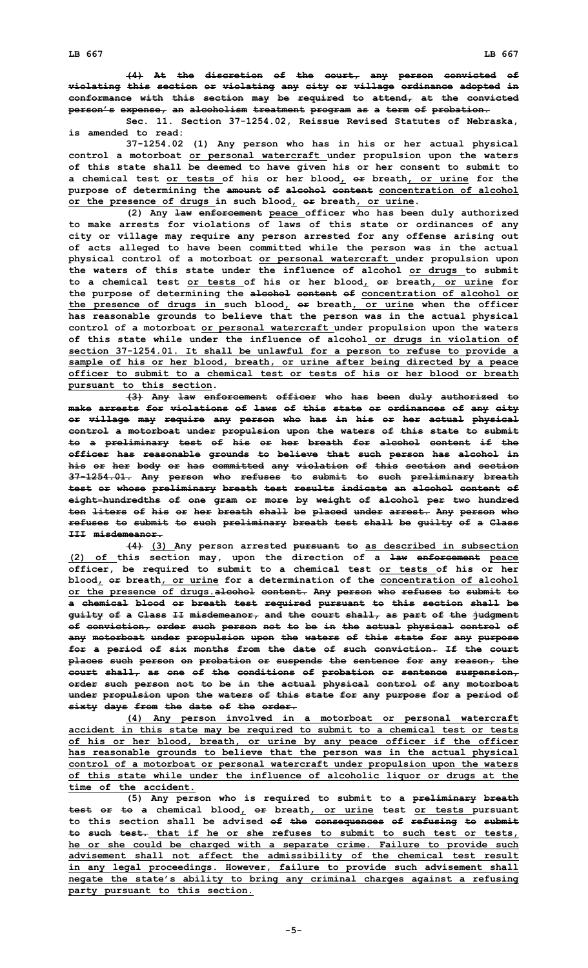**Sec. 11. Section 37-1254.02, Reissue Revised Statutes of Nebraska, is amended to read:**

**37-1254.02 (1) Any person who has in his or her actual physical control <sup>a</sup> motorboat or personal watercraft under propulsion upon the waters of this state shall be deemed to have given his or her consent to submit to <sup>a</sup> chemical test or tests of his or her blood, or breath, or urine for the purpose of determining the amount of alcohol content concentration of alcohol or the presence of drugs in such blood, or breath, or urine.**

**(2) Any law enforcement peace officer who has been duly authorized to make arrests for violations of laws of this state or ordinances of any city or village may require any person arrested for any offense arising out of acts alleged to have been committed while the person was in the actual physical control of <sup>a</sup> motorboat or personal watercraft under propulsion upon the waters of this state under the influence of alcohol or drugs to submit to <sup>a</sup> chemical test or tests of his or her blood, or breath, or urine for the purpose of determining the alcohol content of concentration of alcohol or the presence of drugs in such blood, or breath, or urine when the officer has reasonable grounds to believe that the person was in the actual physical control of <sup>a</sup> motorboat or personal watercraft under propulsion upon the waters of this state while under the influence of alcohol or drugs in violation of section 37-1254.01. It shall be unlawful for <sup>a</sup> person to refuse to provide <sup>a</sup> sample of his or her blood, breath, or urine after being directed by <sup>a</sup> peace officer to submit to a chemical test or tests of his or her blood or breath pursuant to this section.**

**(3) Any law enforcement officer who has been duly authorized to make arrests for violations of laws of this state or ordinances of any city or village may require any person who has in his or her actual physical control <sup>a</sup> motorboat under propulsion upon the waters of this state to submit to <sup>a</sup> preliminary test of his or her breath for alcohol content if the officer has reasonable grounds to believe that such person has alcohol in his or her body or has committed any violation of this section and section 37-1254.01. Any person who refuses to submit to such preliminary breath test or whose preliminary breath test results indicate an alcohol content of eight-hundredths of one gram or more by weight of alcohol per two hundred ten liters of his or her breath shall be placed under arrest. Any person who refuses to submit to such preliminary breath test shall be guilty of <sup>a</sup> Class III misdemeanor.**

**(4) (3) Any person arrested pursuant to as described in subsection (2) of this section may, upon the direction of <sup>a</sup> law enforcement peace officer, be required to submit to <sup>a</sup> chemical test or tests of his or her blood, or breath, or urine for <sup>a</sup> determination of the concentration of alcohol or the presence of drugs.alcohol content. Any person who refuses to submit to <sup>a</sup> chemical blood or breath test required pursuant to this section shall be guilty of <sup>a</sup> Class II misdemeanor, and the court shall, as part of the judgment of conviction, order such person not to be in the actual physical control of any motorboat under propulsion upon the waters of this state for any purpose for <sup>a</sup> period of six months from the date of such conviction. If the court places such person on probation or suspends the sentence for any reason, the court shall, as one of the conditions of probation or sentence suspension, order such person not to be in the actual physical control of any motorboat under propulsion upon the waters of this state for any purpose for <sup>a</sup> period of sixty days from the date of the order.**

**(4) Any person involved in <sup>a</sup> motorboat or personal watercraft accident in this state may be required to submit to <sup>a</sup> chemical test or tests of his or her blood, breath, or urine by any peace officer if the officer has reasonable grounds to believe that the person was in the actual physical control of <sup>a</sup> motorboat or personal watercraft under propulsion upon the waters of this state while under the influence of alcoholic liquor or drugs at the time of the accident.**

**(5) Any person who is required to submit to <sup>a</sup> preliminary breath test or to <sup>a</sup> chemical blood, or breath, or urine test or tests pursuant to this section shall be advised of the consequences of refusing to submit to such test. that if he or she refuses to submit to such test or tests, he or she could be charged with <sup>a</sup> separate crime. Failure to provide such advisement shall not affect the admissibility of the chemical test result in any legal proceedings. However, failure to provide such advisement shall negate the state's ability to bring any criminal charges against <sup>a</sup> refusing party pursuant to this section.**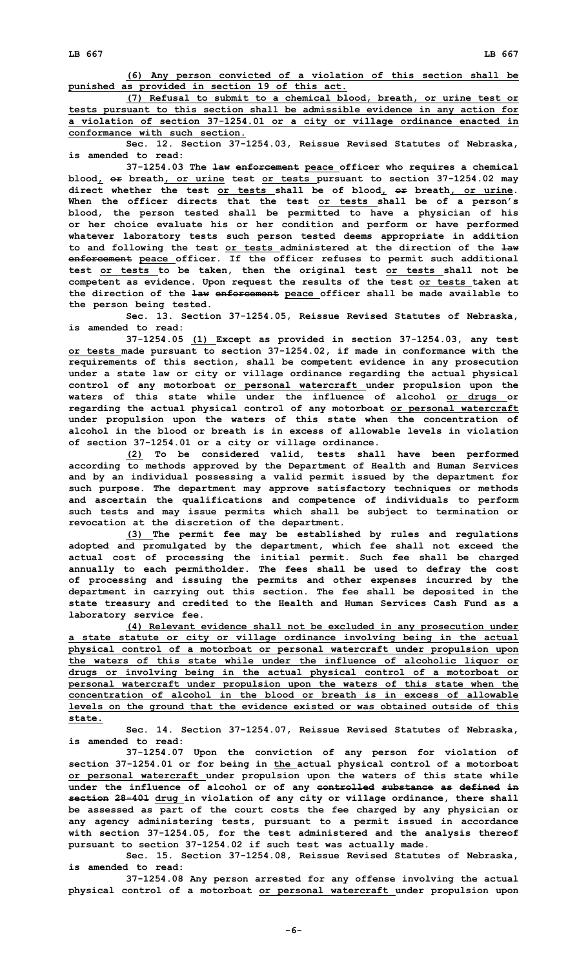**(6) Any person convicted of <sup>a</sup> violation of this section shall be punished as provided in section 19 of this act.**

**(7) Refusal to submit to <sup>a</sup> chemical blood, breath, or urine test or tests pursuant to this section shall be admissible evidence in any action for <sup>a</sup> violation of section 37-1254.01 or <sup>a</sup> city or village ordinance enacted in conformance with such section.**

**Sec. 12. Section 37-1254.03, Reissue Revised Statutes of Nebraska, is amended to read:**

**37-1254.03 The law enforcement peace officer who requires <sup>a</sup> chemical blood, or breath, or urine test or tests pursuant to section 37-1254.02 may direct whether the test or tests shall be of blood, or breath, or urine. When the officer directs that the test or tests shall be of <sup>a</sup> person's blood, the person tested shall be permitted to have <sup>a</sup> physician of his or her choice evaluate his or her condition and perform or have performed whatever laboratory tests such person tested deems appropriate in addition to and following the test or tests administered at the direction of the law enforcement peace officer. If the officer refuses to permit such additional test or tests to be taken, then the original test or tests shall not be competent as evidence. Upon request the results of the test or tests taken at the direction of the law enforcement peace officer shall be made available to the person being tested.**

**Sec. 13. Section 37-1254.05, Reissue Revised Statutes of Nebraska, is amended to read:**

**37-1254.05 (1) Except as provided in section 37-1254.03, any test or tests made pursuant to section 37-1254.02, if made in conformance with the requirements of this section, shall be competent evidence in any prosecution under <sup>a</sup> state law or city or village ordinance regarding the actual physical control of any motorboat or personal watercraft under propulsion upon the waters of this state while under the influence of alcohol or drugs or regarding the actual physical control of any motorboat or personal watercraft under propulsion upon the waters of this state when the concentration of alcohol in the blood or breath is in excess of allowable levels in violation of section 37-1254.01 or <sup>a</sup> city or village ordinance.**

**(2) To be considered valid, tests shall have been performed according to methods approved by the Department of Health and Human Services and by an individual possessing <sup>a</sup> valid permit issued by the department for such purpose. The department may approve satisfactory techniques or methods and ascertain the qualifications and competence of individuals to perform such tests and may issue permits which shall be subject to termination or revocation at the discretion of the department.**

**(3) The permit fee may be established by rules and regulations adopted and promulgated by the department, which fee shall not exceed the actual cost of processing the initial permit. Such fee shall be charged annually to each permitholder. The fees shall be used to defray the cost of processing and issuing the permits and other expenses incurred by the department in carrying out this section. The fee shall be deposited in the state treasury and credited to the Health and Human Services Cash Fund as <sup>a</sup> laboratory service fee.**

**(4) Relevant evidence shall not be excluded in any prosecution under <sup>a</sup> state statute or city or village ordinance involving being in the actual physical control of <sup>a</sup> motorboat or personal watercraft under propulsion upon the waters of this state while under the influence of alcoholic liquor or drugs or involving being in the actual physical control of <sup>a</sup> motorboat or personal watercraft under propulsion upon the waters of this state when the concentration of alcohol in the blood or breath is in excess of allowable levels on the ground that the evidence existed or was obtained outside of this state.**

**Sec. 14. Section 37-1254.07, Reissue Revised Statutes of Nebraska, is amended to read:**

**37-1254.07 Upon the conviction of any person for violation of section 37-1254.01 or for being in the actual physical control of <sup>a</sup> motorboat or personal watercraft under propulsion upon the waters of this state while under the influence of alcohol or of any controlled substance as defined in section 28-401 drug in violation of any city or village ordinance, there shall be assessed as part of the court costs the fee charged by any physician or any agency administering tests, pursuant to <sup>a</sup> permit issued in accordance with section 37-1254.05, for the test administered and the analysis thereof pursuant to section 37-1254.02 if such test was actually made.**

**Sec. 15. Section 37-1254.08, Reissue Revised Statutes of Nebraska, is amended to read:**

**37-1254.08 Any person arrested for any offense involving the actual physical control of <sup>a</sup> motorboat or personal watercraft under propulsion upon**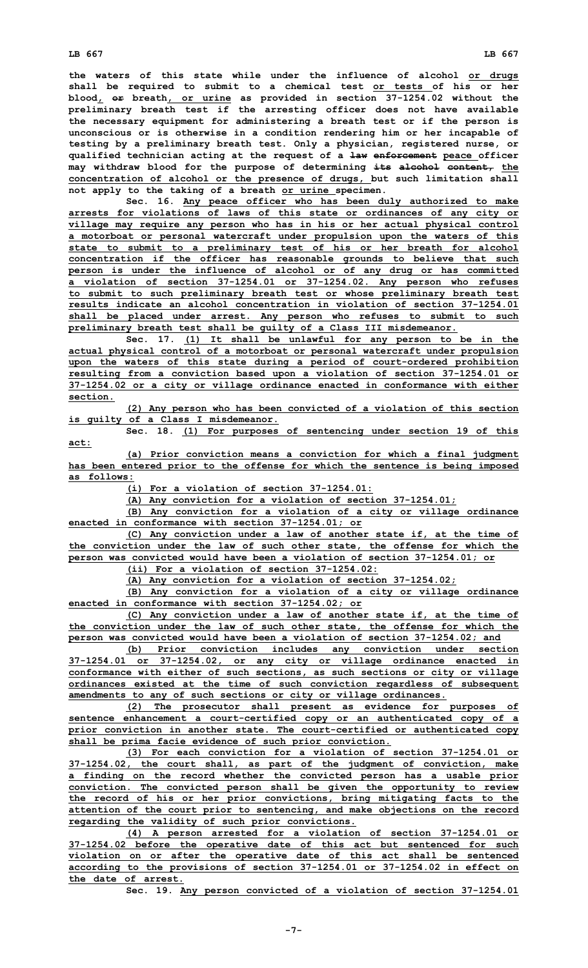**the waters of this state while under the influence of alcohol or drugs shall be required to submit to <sup>a</sup> chemical test or tests of his or her blood, or breath, or urine as provided in section 37-1254.02 without the preliminary breath test if the arresting officer does not have available the necessary equipment for administering <sup>a</sup> breath test or if the person is unconscious or is otherwise in <sup>a</sup> condition rendering him or her incapable of testing by <sup>a</sup> preliminary breath test. Only <sup>a</sup> physician, registered nurse, or qualified technician acting at the request of <sup>a</sup> law enforcement peace officer may withdraw blood for the purpose of determining its alcohol content, the concentration of alcohol or the presence of drugs, but such limitation shall not apply to the taking of <sup>a</sup> breath or urine specimen.**

**Sec. 16. Any peace officer who has been duly authorized to make arrests for violations of laws of this state or ordinances of any city or village may require any person who has in his or her actual physical control <sup>a</sup> motorboat or personal watercraft under propulsion upon the waters of this state to submit to <sup>a</sup> preliminary test of his or her breath for alcohol concentration if the officer has reasonable grounds to believe that such person is under the influence of alcohol or of any drug or has committed <sup>a</sup> violation of section 37-1254.01 or 37-1254.02. Any person who refuses to submit to such preliminary breath test or whose preliminary breath test results indicate an alcohol concentration in violation of section 37-1254.01 shall be placed under arrest. Any person who refuses to submit to such preliminary breath test shall be guilty of <sup>a</sup> Class III misdemeanor.**

**Sec. 17. (1) It shall be unlawful for any person to be in the actual physical control of <sup>a</sup> motorboat or personal watercraft under propulsion upon the waters of this state during <sup>a</sup> period of court-ordered prohibition resulting from <sup>a</sup> conviction based upon <sup>a</sup> violation of section 37-1254.01 or 37-1254.02 or <sup>a</sup> city or village ordinance enacted in conformance with either section.**

**(2) Any person who has been convicted of <sup>a</sup> violation of this section is guilty of <sup>a</sup> Class I misdemeanor.**

**Sec. 18. (1) For purposes of sentencing under section 19 of this act:**

**(a) Prior conviction means <sup>a</sup> conviction for which <sup>a</sup> final judgment has been entered prior to the offense for which the sentence is being imposed as follows:**

**(i) For <sup>a</sup> violation of section 37-1254.01:**

**(A) Any conviction for <sup>a</sup> violation of section 37-1254.01;**

**(B) Any conviction for <sup>a</sup> violation of <sup>a</sup> city or village ordinance enacted in conformance with section 37-1254.01; or**

**(C) Any conviction under <sup>a</sup> law of another state if, at the time of the conviction under the law of such other state, the offense for which the person was convicted would have been <sup>a</sup> violation of section 37-1254.01; or**

**(ii) For <sup>a</sup> violation of section 37-1254.02:**

**(A) Any conviction for <sup>a</sup> violation of section 37-1254.02;**

**(B) Any conviction for <sup>a</sup> violation of <sup>a</sup> city or village ordinance enacted in conformance with section 37-1254.02; or**

**(C) Any conviction under <sup>a</sup> law of another state if, at the time of the conviction under the law of such other state, the offense for which the person was convicted would have been <sup>a</sup> violation of section 37-1254.02; and**

**(b) Prior conviction includes any conviction under section 37-1254.01 or 37-1254.02, or any city or village ordinance enacted in conformance with either of such sections, as such sections or city or village ordinances existed at the time of such conviction regardless of subsequent amendments to any of such sections or city or village ordinances.**

**(2) The prosecutor shall present as evidence for purposes of sentence enhancement <sup>a</sup> court-certified copy or an authenticated copy of <sup>a</sup> prior conviction in another state. The court-certified or authenticated copy shall be prima facie evidence of such prior conviction.**

**(3) For each conviction for <sup>a</sup> violation of section 37-1254.01 or 37-1254.02, the court shall, as part of the judgment of conviction, make <sup>a</sup> finding on the record whether the convicted person has <sup>a</sup> usable prior conviction. The convicted person shall be given the opportunity to review the record of his or her prior convictions, bring mitigating facts to the attention of the court prior to sentencing, and make objections on the record regarding the validity of such prior convictions.**

**(4) <sup>A</sup> person arrested for <sup>a</sup> violation of section 37-1254.01 or 37-1254.02 before the operative date of this act but sentenced for such violation on or after the operative date of this act shall be sentenced according to the provisions of section 37-1254.01 or 37-1254.02 in effect on the date of arrest.**

**Sec. 19. Any person convicted of <sup>a</sup> violation of section 37-1254.01**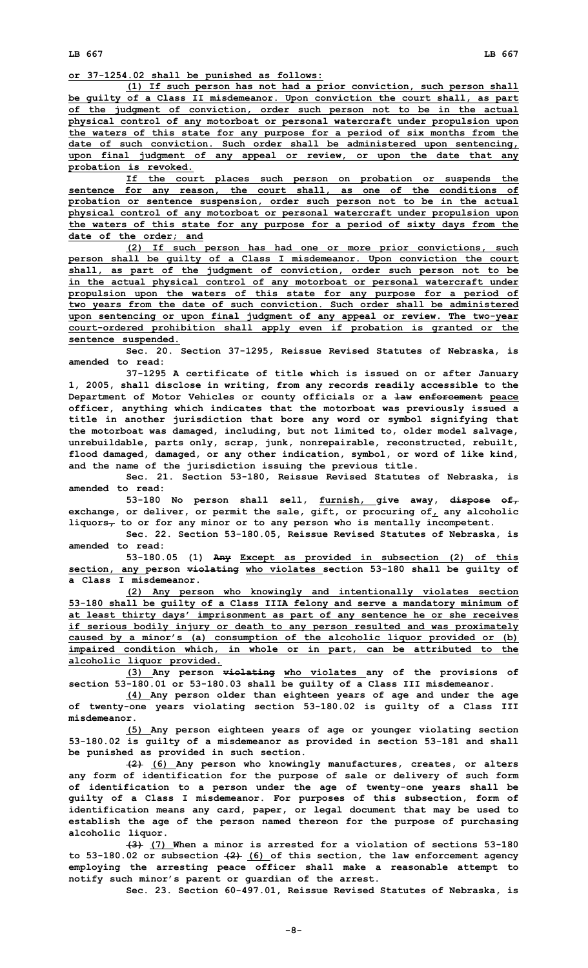**or 37-1254.02 shall be punished as follows:**

**(1) If such person has not had <sup>a</sup> prior conviction, such person shall be guilty of <sup>a</sup> Class II misdemeanor. Upon conviction the court shall, as part of the judgment of conviction, order such person not to be in the actual physical control of any motorboat or personal watercraft under propulsion upon the waters of this state for any purpose for <sup>a</sup> period of six months from the date of such conviction. Such order shall be administered upon sentencing, upon final judgment of any appeal or review, or upon the date that any probation is revoked.**

**If the court places such person on probation or suspends the sentence for any reason, the court shall, as one of the conditions of probation or sentence suspension, order such person not to be in the actual physical control of any motorboat or personal watercraft under propulsion upon the waters of this state for any purpose for <sup>a</sup> period of sixty days from the date of the order; and**

**(2) If such person has had one or more prior convictions, such person shall be guilty of <sup>a</sup> Class I misdemeanor. Upon conviction the court shall, as part of the judgment of conviction, order such person not to be in the actual physical control of any motorboat or personal watercraft under propulsion upon the waters of this state for any purpose for <sup>a</sup> period of two years from the date of such conviction. Such order shall be administered upon sentencing or upon final judgment of any appeal or review. The two-year court-ordered prohibition shall apply even if probation is granted or the sentence suspended.**

**Sec. 20. Section 37-1295, Reissue Revised Statutes of Nebraska, is amended to read:**

**37-1295 <sup>A</sup> certificate of title which is issued on or after January 1, 2005, shall disclose in writing, from any records readily accessible to the Department of Motor Vehicles or county officials or <sup>a</sup> law enforcement peace officer, anything which indicates that the motorboat was previously issued <sup>a</sup> title in another jurisdiction that bore any word or symbol signifying that the motorboat was damaged, including, but not limited to, older model salvage, unrebuildable, parts only, scrap, junk, nonrepairable, reconstructed, rebuilt, flood damaged, damaged, or any other indication, symbol, or word of like kind, and the name of the jurisdiction issuing the previous title.**

**Sec. 21. Section 53-180, Reissue Revised Statutes of Nebraska, is amended to read:**

**53-180 No person shall sell, furnish, give away, dispose of, exchange, or deliver, or permit the sale, gift, or procuring of, any alcoholic liquors, to or for any minor or to any person who is mentally incompetent.**

**Sec. 22. Section 53-180.05, Reissue Revised Statutes of Nebraska, is amended to read:**

**53-180.05 (1) Any Except as provided in subsection (2) of this section, any person violating who violates section 53-180 shall be guilty of a Class I misdemeanor.**

**(2) Any person who knowingly and intentionally violates section 53-180 shall be guilty of <sup>a</sup> Class IIIA felony and serve <sup>a</sup> mandatory minimum of at least thirty days' imprisonment as part of any sentence he or she receives if serious bodily injury or death to any person resulted and was proximately caused by <sup>a</sup> minor's (a) consumption of the alcoholic liquor provided or (b) impaired condition which, in whole or in part, can be attributed to the alcoholic liquor provided.**

**(3) Any person violating who violates any of the provisions of section 53-180.01 or 53-180.03 shall be guilty of <sup>a</sup> Class III misdemeanor.**

**(4) Any person older than eighteen years of age and under the age of twenty-one years violating section 53-180.02 is guilty of <sup>a</sup> Class III misdemeanor.**

**(5) Any person eighteen years of age or younger violating section 53-180.02 is guilty of <sup>a</sup> misdemeanor as provided in section 53-181 and shall be punished as provided in such section.**

**(2) (6) Any person who knowingly manufactures, creates, or alters any form of identification for the purpose of sale or delivery of such form of identification to <sup>a</sup> person under the age of twenty-one years shall be guilty of <sup>a</sup> Class I misdemeanor. For purposes of this subsection, form of identification means any card, paper, or legal document that may be used to establish the age of the person named thereon for the purpose of purchasing alcoholic liquor.**

**(3) (7) When <sup>a</sup> minor is arrested for <sup>a</sup> violation of sections 53-180 to 53-180.02 or subsection (2) (6) of this section, the law enforcement agency employing the arresting peace officer shall make <sup>a</sup> reasonable attempt to notify such minor's parent or guardian of the arrest.**

**Sec. 23. Section 60-497.01, Reissue Revised Statutes of Nebraska, is**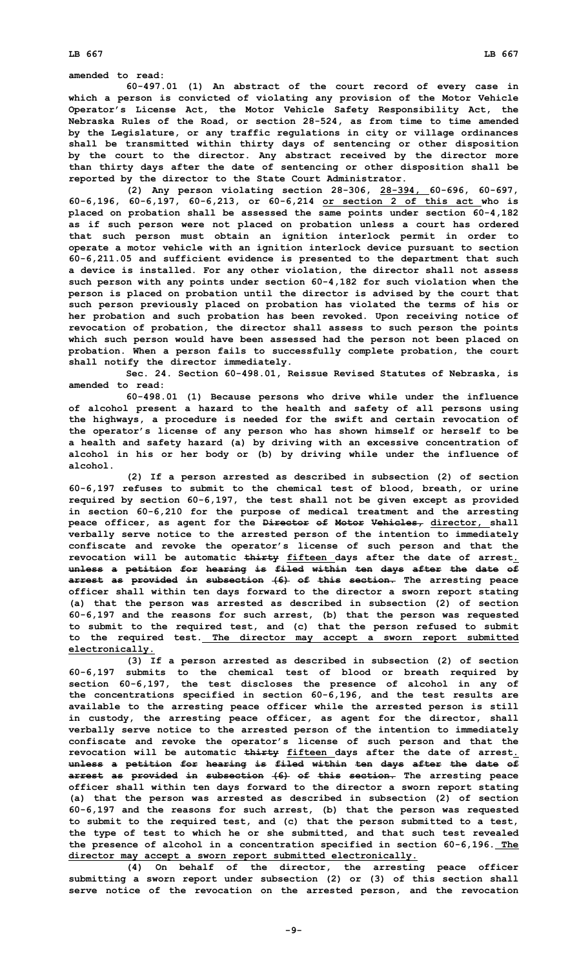**amended to read:**

**60-497.01 (1) An abstract of the court record of every case in which <sup>a</sup> person is convicted of violating any provision of the Motor Vehicle Operator's License Act, the Motor Vehicle Safety Responsibility Act, the Nebraska Rules of the Road, or section 28-524, as from time to time amended by the Legislature, or any traffic regulations in city or village ordinances shall be transmitted within thirty days of sentencing or other disposition by the court to the director. Any abstract received by the director more than thirty days after the date of sentencing or other disposition shall be reported by the director to the State Court Administrator.**

**(2) Any person violating section 28-306, 28-394, 60-696, 60-697, 60-6,196, 60-6,197, 60-6,213, or 60-6,214 or section 2 of this act who is placed on probation shall be assessed the same points under section 60-4,182 as if such person were not placed on probation unless <sup>a</sup> court has ordered that such person must obtain an ignition interlock permit in order to operate <sup>a</sup> motor vehicle with an ignition interlock device pursuant to section 60-6,211.05 and sufficient evidence is presented to the department that such <sup>a</sup> device is installed. For any other violation, the director shall not assess such person with any points under section 60-4,182 for such violation when the person is placed on probation until the director is advised by the court that such person previously placed on probation has violated the terms of his or her probation and such probation has been revoked. Upon receiving notice of revocation of probation, the director shall assess to such person the points which such person would have been assessed had the person not been placed on probation. When <sup>a</sup> person fails to successfully complete probation, the court shall notify the director immediately.**

**Sec. 24. Section 60-498.01, Reissue Revised Statutes of Nebraska, is amended to read:**

**60-498.01 (1) Because persons who drive while under the influence of alcohol present <sup>a</sup> hazard to the health and safety of all persons using the highways, <sup>a</sup> procedure is needed for the swift and certain revocation of the operator's license of any person who has shown himself or herself to be <sup>a</sup> health and safety hazard (a) by driving with an excessive concentration of alcohol in his or her body or (b) by driving while under the influence of alcohol.**

**(2) If <sup>a</sup> person arrested as described in subsection (2) of section 60-6,197 refuses to submit to the chemical test of blood, breath, or urine required by section 60-6,197, the test shall not be given except as provided in section 60-6,210 for the purpose of medical treatment and the arresting peace officer, as agent for the Director of Motor Vehicles, director, shall verbally serve notice to the arrested person of the intention to immediately confiscate and revoke the operator's license of such person and that the revocation will be automatic thirty fifteen days after the date of arrest. unless <sup>a</sup> petition for hearing is filed within ten days after the date of arrest as provided in subsection (6) of this section. The arresting peace officer shall within ten days forward to the director <sup>a</sup> sworn report stating (a) that the person was arrested as described in subsection (2) of section 60-6,197 and the reasons for such arrest, (b) that the person was requested to submit to the required test, and (c) that the person refused to submit to the required test. The director may accept <sup>a</sup> sworn report submitted electronically.**

**(3) If <sup>a</sup> person arrested as described in subsection (2) of section 60-6,197 submits to the chemical test of blood or breath required by section 60-6,197, the test discloses the presence of alcohol in any of the concentrations specified in section 60-6,196, and the test results are available to the arresting peace officer while the arrested person is still in custody, the arresting peace officer, as agent for the director, shall verbally serve notice to the arrested person of the intention to immediately confiscate and revoke the operator's license of such person and that the revocation will be automatic thirty fifteen days after the date of arrest. unless <sup>a</sup> petition for hearing is filed within ten days after the date of arrest as provided in subsection (6) of this section. The arresting peace officer shall within ten days forward to the director <sup>a</sup> sworn report stating (a) that the person was arrested as described in subsection (2) of section 60-6,197 and the reasons for such arrest, (b) that the person was requested to submit to the required test, and (c) that the person submitted to <sup>a</sup> test, the type of test to which he or she submitted, and that such test revealed the presence of alcohol in <sup>a</sup> concentration specified in section 60-6,196. The director may accept <sup>a</sup> sworn report submitted electronically.**

**(4) On behalf of the director, the arresting peace officer submitting <sup>a</sup> sworn report under subsection (2) or (3) of this section shall serve notice of the revocation on the arrested person, and the revocation**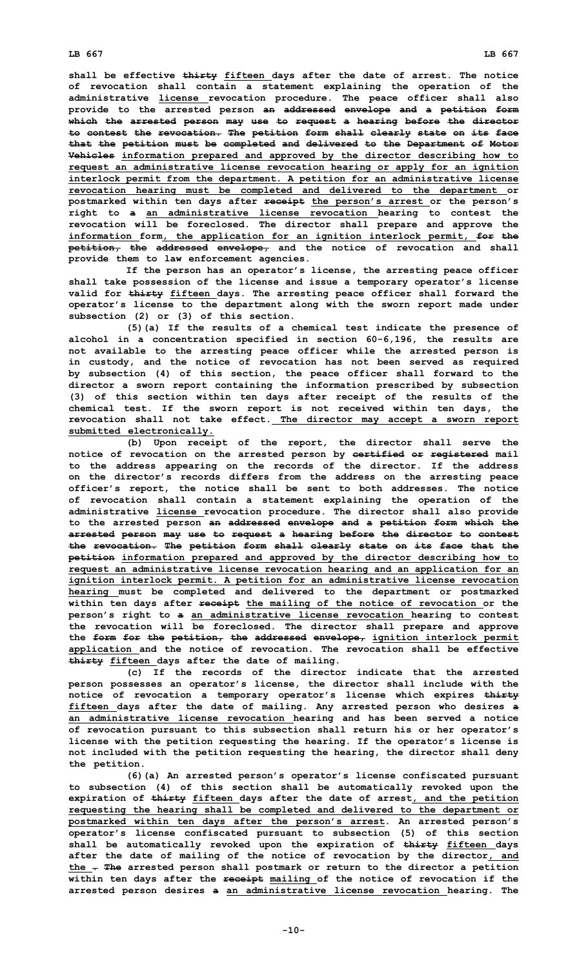**shall be effective thirty fifteen days after the date of arrest. The notice of revocation shall contain <sup>a</sup> statement explaining the operation of the administrative license revocation procedure. The peace officer shall also provide to the arrested person an addressed envelope and <sup>a</sup> petition form which the arrested person may use to request <sup>a</sup> hearing before the director to contest the revocation. The petition form shall clearly state on its face that the petition must be completed and delivered to the Department of Motor Vehicles information prepared and approved by the director describing how to request an administrative license revocation hearing or apply for an ignition interlock permit from the department. A petition for an administrative license revocation hearing must be completed and delivered to the department or postmarked within ten days after receipt the person's arrest or the person's right to <sup>a</sup> an administrative license revocation hearing to contest the revocation will be foreclosed. The director shall prepare and approve the information form, the application for an ignition interlock permit, for the petition, the addressed envelope, and the notice of revocation and shall provide them to law enforcement agencies.**

**If the person has an operator's license, the arresting peace officer shall take possession of the license and issue <sup>a</sup> temporary operator's license valid for thirty fifteen days. The arresting peace officer shall forward the operator's license to the department along with the sworn report made under subsection (2) or (3) of this section.**

**(5)(a) If the results of <sup>a</sup> chemical test indicate the presence of alcohol in <sup>a</sup> concentration specified in section 60-6,196, the results are not available to the arresting peace officer while the arrested person is in custody, and the notice of revocation has not been served as required by subsection (4) of this section, the peace officer shall forward to the director <sup>a</sup> sworn report containing the information prescribed by subsection (3) of this section within ten days after receipt of the results of the chemical test. If the sworn report is not received within ten days, the revocation shall not take effect. The director may accept <sup>a</sup> sworn report submitted electronically.**

**(b) Upon receipt of the report, the director shall serve the notice of revocation on the arrested person by certified or registered mail to the address appearing on the records of the director. If the address on the director's records differs from the address on the arresting peace officer's report, the notice shall be sent to both addresses. The notice of revocation shall contain <sup>a</sup> statement explaining the operation of the administrative license revocation procedure. The director shall also provide to the arrested person an addressed envelope and <sup>a</sup> petition form which the arrested person may use to request <sup>a</sup> hearing before the director to contest the revocation. The petition form shall clearly state on its face that the petition information prepared and approved by the director describing how to request an administrative license revocation hearing and an application for an ignition interlock permit. A petition for an administrative license revocation hearing must be completed and delivered to the department or postmarked within ten days after receipt the mailing of the notice of revocation or the person's right to <sup>a</sup> an administrative license revocation hearing to contest the revocation will be foreclosed. The director shall prepare and approve the form for the petition, the addressed envelope, ignition interlock permit application and the notice of revocation. The revocation shall be effective thirty fifteen days after the date of mailing.**

**(c) If the records of the director indicate that the arrested person possesses an operator's license, the director shall include with the notice of revocation <sup>a</sup> temporary operator's license which expires thirty fifteen days after the date of mailing. Any arrested person who desires <sup>a</sup> an administrative license revocation hearing and has been served <sup>a</sup> notice of revocation pursuant to this subsection shall return his or her operator's license with the petition requesting the hearing. If the operator's license is not included with the petition requesting the hearing, the director shall deny the petition.**

**(6)(a) An arrested person's operator's license confiscated pursuant to subsection (4) of this section shall be automatically revoked upon the expiration of thirty fifteen days after the date of arrest, and the petition requesting the hearing shall be completed and delivered to the department or postmarked within ten days after the person's arrest. An arrested person's operator's license confiscated pursuant to subsection (5) of this section shall be automatically revoked upon the expiration of thirty fifteen days after the date of mailing of the notice of revocation by the director, and the . The arrested person shall postmark or return to the director <sup>a</sup> petition within ten days after the receipt mailing of the notice of revocation if the arrested person desires <sup>a</sup> an administrative license revocation hearing. The**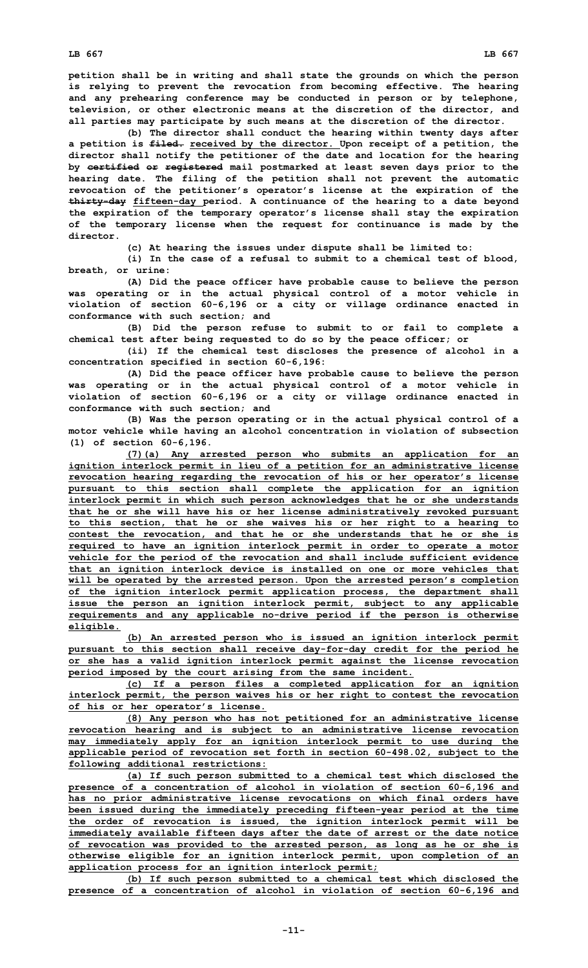**petition shall be in writing and shall state the grounds on which the person is relying to prevent the revocation from becoming effective. The hearing and any prehearing conference may be conducted in person or by telephone, television, or other electronic means at the discretion of the director, and all parties may participate by such means at the discretion of the director.**

**(b) The director shall conduct the hearing within twenty days after <sup>a</sup> petition is filed. received by the director. Upon receipt of <sup>a</sup> petition, the director shall notify the petitioner of the date and location for the hearing by certified or registered mail postmarked at least seven days prior to the hearing date. The filing of the petition shall not prevent the automatic revocation of the petitioner's operator's license at the expiration of the thirty-day fifteen-day period. A continuance of the hearing to <sup>a</sup> date beyond the expiration of the temporary operator's license shall stay the expiration of the temporary license when the request for continuance is made by the director.**

**(c) At hearing the issues under dispute shall be limited to:**

**(i) In the case of <sup>a</sup> refusal to submit to <sup>a</sup> chemical test of blood, breath, or urine:**

**(A) Did the peace officer have probable cause to believe the person was operating or in the actual physical control of <sup>a</sup> motor vehicle in violation of section 60-6,196 or <sup>a</sup> city or village ordinance enacted in conformance with such section; and**

**(B) Did the person refuse to submit to or fail to complete <sup>a</sup> chemical test after being requested to do so by the peace officer; or**

**(ii) If the chemical test discloses the presence of alcohol in <sup>a</sup> concentration specified in section 60-6,196:**

**(A) Did the peace officer have probable cause to believe the person was operating or in the actual physical control of <sup>a</sup> motor vehicle in violation of section 60-6,196 or <sup>a</sup> city or village ordinance enacted in conformance with such section; and**

**(B) Was the person operating or in the actual physical control of <sup>a</sup> motor vehicle while having an alcohol concentration in violation of subsection (1) of section 60-6,196.**

**(7)(a) Any arrested person who submits an application for an ignition interlock permit in lieu of <sup>a</sup> petition for an administrative license revocation hearing regarding the revocation of his or her operator's license pursuant to this section shall complete the application for an ignition interlock permit in which such person acknowledges that he or she understands that he or she will have his or her license administratively revoked pursuant to this section, that he or she waives his or her right to <sup>a</sup> hearing to contest the revocation, and that he or she understands that he or she is required to have an ignition interlock permit in order to operate <sup>a</sup> motor vehicle for the period of the revocation and shall include sufficient evidence that an ignition interlock device is installed on one or more vehicles that will be operated by the arrested person. Upon the arrested person's completion of the ignition interlock permit application process, the department shall issue the person an ignition interlock permit, subject to any applicable requirements and any applicable no-drive period if the person is otherwise eligible.**

**(b) An arrested person who is issued an ignition interlock permit pursuant to this section shall receive day-for-day credit for the period he or she has <sup>a</sup> valid ignition interlock permit against the license revocation period imposed by the court arising from the same incident.**

**(c) If <sup>a</sup> person files <sup>a</sup> completed application for an ignition interlock permit, the person waives his or her right to contest the revocation of his or her operator's license.**

**(8) Any person who has not petitioned for an administrative license revocation hearing and is subject to an administrative license revocation may immediately apply for an ignition interlock permit to use during the applicable period of revocation set forth in section 60-498.02, subject to the following additional restrictions:**

**(a) If such person submitted to <sup>a</sup> chemical test which disclosed the presence of <sup>a</sup> concentration of alcohol in violation of section 60-6,196 and has no prior administrative license revocations on which final orders have been issued during the immediately preceding fifteen-year period at the time the order of revocation is issued, the ignition interlock permit will be immediately available fifteen days after the date of arrest or the date notice of revocation was provided to the arrested person, as long as he or she is otherwise eligible for an ignition interlock permit, upon completion of an application process for an ignition interlock permit;**

**(b) If such person submitted to <sup>a</sup> chemical test which disclosed the presence of <sup>a</sup> concentration of alcohol in violation of section 60-6,196 and**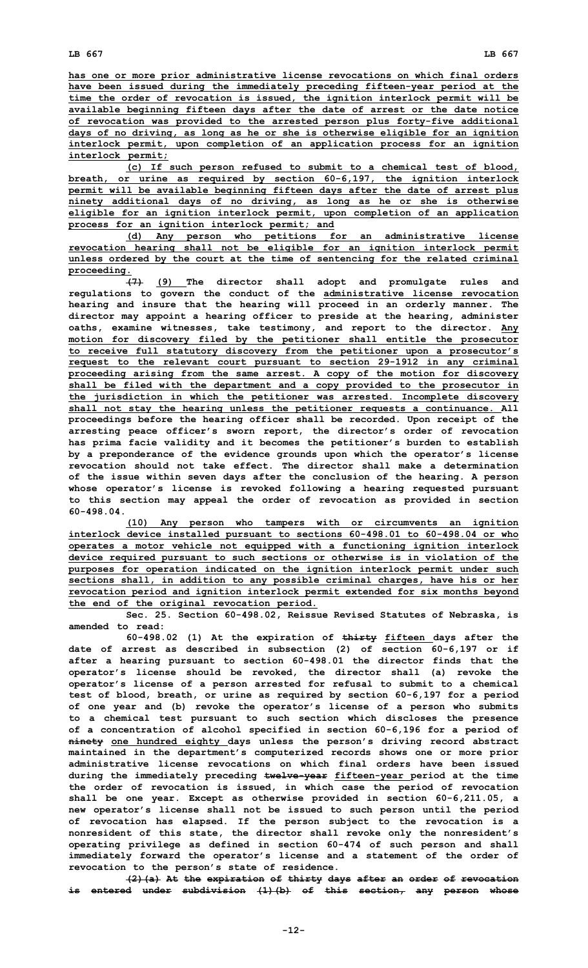**has one or more prior administrative license revocations on which final orders have been issued during the immediately preceding fifteen-year period at the time the order of revocation is issued, the ignition interlock permit will be available beginning fifteen days after the date of arrest or the date notice of revocation was provided to the arrested person plus forty-five additional days of no driving, as long as he or she is otherwise eligible for an ignition interlock permit, upon completion of an application process for an ignition interlock permit;**

**(c) If such person refused to submit to <sup>a</sup> chemical test of blood, breath, or urine as required by section 60-6,197, the ignition interlock permit will be available beginning fifteen days after the date of arrest plus ninety additional days of no driving, as long as he or she is otherwise eligible for an ignition interlock permit, upon completion of an application process for an ignition interlock permit; and**

**(d) Any person who petitions for an administrative license revocation hearing shall not be eligible for an ignition interlock permit unless ordered by the court at the time of sentencing for the related criminal proceeding.**

**(7) (9) The director shall adopt and promulgate rules and regulations to govern the conduct of the administrative license revocation hearing and insure that the hearing will proceed in an orderly manner. The director may appoint <sup>a</sup> hearing officer to preside at the hearing, administer oaths, examine witnesses, take testimony, and report to the director. Any motion for discovery filed by the petitioner shall entitle the prosecutor to receive full statutory discovery from the petitioner upon <sup>a</sup> prosecutor's request to the relevant court pursuant to section 29-1912 in any criminal proceeding arising from the same arrest. A copy of the motion for discovery shall be filed with the department and <sup>a</sup> copy provided to the prosecutor in the jurisdiction in which the petitioner was arrested. Incomplete discovery shall not stay the hearing unless the petitioner requests <sup>a</sup> continuance. All proceedings before the hearing officer shall be recorded. Upon receipt of the arresting peace officer's sworn report, the director's order of revocation has prima facie validity and it becomes the petitioner's burden to establish by <sup>a</sup> preponderance of the evidence grounds upon which the operator's license revocation should not take effect. The director shall make a determination of the issue within seven days after the conclusion of the hearing. A person whose operator's license is revoked following <sup>a</sup> hearing requested pursuant to this section may appeal the order of revocation as provided in section 60-498.04.**

**(10) Any person who tampers with or circumvents an ignition interlock device installed pursuant to sections 60-498.01 to 60-498.04 or who operates <sup>a</sup> motor vehicle not equipped with <sup>a</sup> functioning ignition interlock device required pursuant to such sections or otherwise is in violation of the purposes for operation indicated on the ignition interlock permit under such sections shall, in addition to any possible criminal charges, have his or her revocation period and ignition interlock permit extended for six months beyond the end of the original revocation period.**

**Sec. 25. Section 60-498.02, Reissue Revised Statutes of Nebraska, is amended to read:**

**60-498.02 (1) At the expiration of thirty fifteen days after the date of arrest as described in subsection (2) of section 60-6,197 or if after <sup>a</sup> hearing pursuant to section 60-498.01 the director finds that the operator's license should be revoked, the director shall (a) revoke the operator's license of <sup>a</sup> person arrested for refusal to submit to <sup>a</sup> chemical test of blood, breath, or urine as required by section 60-6,197 for <sup>a</sup> period of one year and (b) revoke the operator's license of <sup>a</sup> person who submits to <sup>a</sup> chemical test pursuant to such section which discloses the presence of <sup>a</sup> concentration of alcohol specified in section 60-6,196 for <sup>a</sup> period of ninety one hundred eighty days unless the person's driving record abstract maintained in the department's computerized records shows one or more prior administrative license revocations on which final orders have been issued during the immediately preceding twelve-year fifteen-year period at the time the order of revocation is issued, in which case the period of revocation shall be one year. Except as otherwise provided in section 60-6,211.05, <sup>a</sup> new operator's license shall not be issued to such person until the period of revocation has elapsed. If the person subject to the revocation is <sup>a</sup> nonresident of this state, the director shall revoke only the nonresident's operating privilege as defined in section 60-474 of such person and shall immediately forward the operator's license and <sup>a</sup> statement of the order of revocation to the person's state of residence.**

**(2)(a) At the expiration of thirty days after an order of revocation is entered under subdivision (1)(b) of this section, any person whose**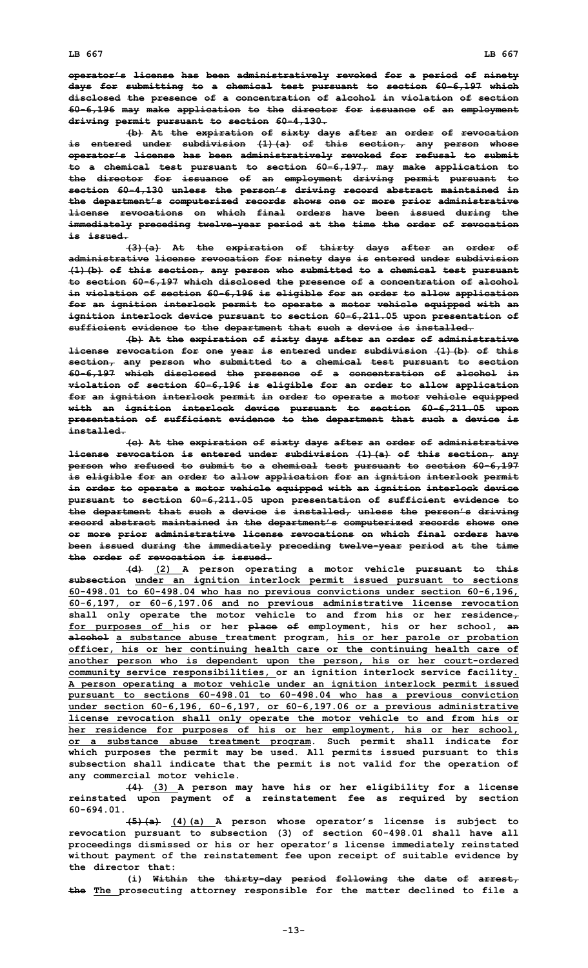**operator's license has been administratively revoked for <sup>a</sup> period of ninety days for submitting to <sup>a</sup> chemical test pursuant to section 60-6,197 which disclosed the presence of <sup>a</sup> concentration of alcohol in violation of section 60-6,196 may make application to the director for issuance of an employment driving permit pursuant to section 60-4,130.**

**(b) At the expiration of sixty days after an order of revocation is entered under subdivision (1)(a) of this section, any person whose operator's license has been administratively revoked for refusal to submit to <sup>a</sup> chemical test pursuant to section 60-6,197, may make application to the director for issuance of an employment driving permit pursuant to section 60-4,130 unless the person's driving record abstract maintained in the department's computerized records shows one or more prior administrative license revocations on which final orders have been issued during the immediately preceding twelve-year period at the time the order of revocation is issued.**

**(3)(a) At the expiration of thirty days after an order of administrative license revocation for ninety days is entered under subdivision (1)(b) of this section, any person who submitted to <sup>a</sup> chemical test pursuant to section 60-6,197 which disclosed the presence of <sup>a</sup> concentration of alcohol in violation of section 60-6,196 is eligible for an order to allow application for an ignition interlock permit to operate <sup>a</sup> motor vehicle equipped with an ignition interlock device pursuant to section 60-6,211.05 upon presentation of sufficient evidence to the department that such <sup>a</sup> device is installed.**

**(b) At the expiration of sixty days after an order of administrative license revocation for one year is entered under subdivision (1)(b) of this section, any person who submitted to <sup>a</sup> chemical test pursuant to section 60-6,197 which disclosed the presence of <sup>a</sup> concentration of alcohol in violation of section 60-6,196 is eligible for an order to allow application for an ignition interlock permit in order to operate <sup>a</sup> motor vehicle equipped with an ignition interlock device pursuant to section 60-6,211.05 upon presentation of sufficient evidence to the department that such <sup>a</sup> device is installed.**

**(c) At the expiration of sixty days after an order of administrative license revocation is entered under subdivision (1)(a) of this section, any person who refused to submit to <sup>a</sup> chemical test pursuant to section 60-6,197 is eligible for an order to allow application for an ignition interlock permit in order to operate <sup>a</sup> motor vehicle equipped with an ignition interlock device pursuant to section 60-6,211.05 upon presentation of sufficient evidence to the department that such <sup>a</sup> device is installed, unless the person's driving record abstract maintained in the department's computerized records shows one or more prior administrative license revocations on which final orders have been issued during the immediately preceding twelve-year period at the time the order of revocation is issued.**

**(d) (2) <sup>A</sup> person operating <sup>a</sup> motor vehicle pursuant to this subsection under an ignition interlock permit issued pursuant to sections 60-498.01 to 60-498.04 who has no previous convictions under section 60-6,196, 60-6,197, or 60-6,197.06 and no previous administrative license revocation shall only operate the motor vehicle to and from his or her residence, for purposes of his or her place of employment, his or her school, an alcohol <sup>a</sup> substance abuse treatment program, his or her parole or probation officer, his or her continuing health care or the continuing health care of another person who is dependent upon the person, his or her court-ordered community service responsibilities, or an ignition interlock service facility. A person operating <sup>a</sup> motor vehicle under an ignition interlock permit issued pursuant to sections 60-498.01 to 60-498.04 who has <sup>a</sup> previous conviction under section 60-6,196, 60-6,197, or 60-6,197.06 or <sup>a</sup> previous administrative license revocation shall only operate the motor vehicle to and from his or her residence for purposes of his or her employment, his or her school, or <sup>a</sup> substance abuse treatment program. Such permit shall indicate for which purposes the permit may be used. All permits issued pursuant to this subsection shall indicate that the permit is not valid for the operation of any commercial motor vehicle.**

**(4) (3) <sup>A</sup> person may have his or her eligibility for <sup>a</sup> license reinstated upon payment of <sup>a</sup> reinstatement fee as required by section 60-694.01.**

**(5)(a) (4)(a) <sup>A</sup> person whose operator's license is subject to revocation pursuant to subsection (3) of section 60-498.01 shall have all proceedings dismissed or his or her operator's license immediately reinstated without payment of the reinstatement fee upon receipt of suitable evidence by the director that:**

**(i) Within the thirty-day period following the date of arrest, the The prosecuting attorney responsible for the matter declined to file <sup>a</sup>**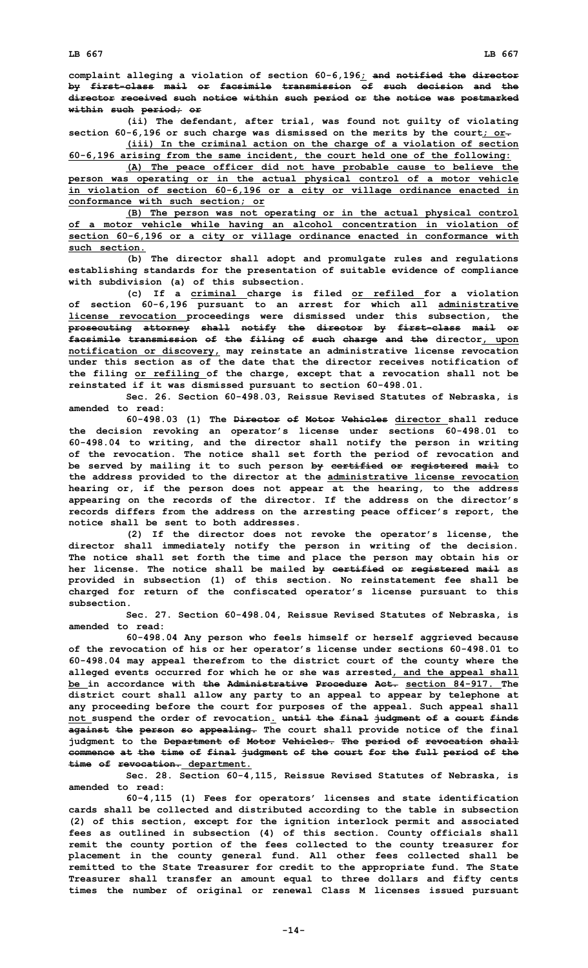**complaint alleging <sup>a</sup> violation of section 60-6,196; and notified the director by first-class mail or facsimile transmission of such decision and the director received such notice within such period or the notice was postmarked within such period; or**

**(ii) The defendant, after trial, was found not guilty of violating section 60-6,196 or such charge was dismissed on the merits by the court; or.**

**(iii) In the criminal action on the charge of <sup>a</sup> violation of section 60-6,196 arising from the same incident, the court held one of the following: (A) The peace officer did not have probable cause to believe the**

**person was operating or in the actual physical control of <sup>a</sup> motor vehicle in violation of section 60-6,196 or <sup>a</sup> city or village ordinance enacted in conformance with such section; or**

**(B) The person was not operating or in the actual physical control of <sup>a</sup> motor vehicle while having an alcohol concentration in violation of section 60-6,196 or <sup>a</sup> city or village ordinance enacted in conformance with such section.**

**(b) The director shall adopt and promulgate rules and regulations establishing standards for the presentation of suitable evidence of compliance with subdivision (a) of this subsection.**

**(c) If <sup>a</sup> criminal charge is filed or refiled for <sup>a</sup> violation of section 60-6,196 pursuant to an arrest for which all administrative license revocation proceedings were dismissed under this subsection, the prosecuting attorney shall notify the director by first-class mail or facsimile transmission of the filing of such charge and the director, upon notification or discovery, may reinstate an administrative license revocation under this section as of the date that the director receives notification of the filing or refiling of the charge, except that <sup>a</sup> revocation shall not be reinstated if it was dismissed pursuant to section 60-498.01.**

**Sec. 26. Section 60-498.03, Reissue Revised Statutes of Nebraska, is amended to read:**

**60-498.03 (1) The Director of Motor Vehicles director shall reduce the decision revoking an operator's license under sections 60-498.01 to 60-498.04 to writing, and the director shall notify the person in writing of the revocation. The notice shall set forth the period of revocation and be served by mailing it to such person by certified or registered mail to the address provided to the director at the administrative license revocation hearing or, if the person does not appear at the hearing, to the address appearing on the records of the director. If the address on the director's records differs from the address on the arresting peace officer's report, the notice shall be sent to both addresses.**

**(2) If the director does not revoke the operator's license, the director shall immediately notify the person in writing of the decision. The notice shall set forth the time and place the person may obtain his or her license. The notice shall be mailed by certified or registered mail as provided in subsection (1) of this section. No reinstatement fee shall be charged for return of the confiscated operator's license pursuant to this subsection.**

**Sec. 27. Section 60-498.04, Reissue Revised Statutes of Nebraska, is amended to read:**

**60-498.04 Any person who feels himself or herself aggrieved because of the revocation of his or her operator's license under sections 60-498.01 to 60-498.04 may appeal therefrom to the district court of the county where the alleged events occurred for which he or she was arrested, and the appeal shall be in accordance with the Administrative Procedure Act. section 84-917. The district court shall allow any party to an appeal to appear by telephone at any proceeding before the court for purposes of the appeal. Such appeal shall not suspend the order of revocation. until the final judgment of <sup>a</sup> court finds against the person so appealing. The court shall provide notice of the final judgment to the Department of Motor Vehicles. The period of revocation shall commence at the time of final judgment of the court for the full period of the time of revocation. department.**

**Sec. 28. Section 60-4,115, Reissue Revised Statutes of Nebraska, is amended to read:**

**60-4,115 (1) Fees for operators' licenses and state identification cards shall be collected and distributed according to the table in subsection (2) of this section, except for the ignition interlock permit and associated fees as outlined in subsection (4) of this section. County officials shall remit the county portion of the fees collected to the county treasurer for placement in the county general fund. All other fees collected shall be remitted to the State Treasurer for credit to the appropriate fund. The State Treasurer shall transfer an amount equal to three dollars and fifty cents times the number of original or renewal Class M licenses issued pursuant**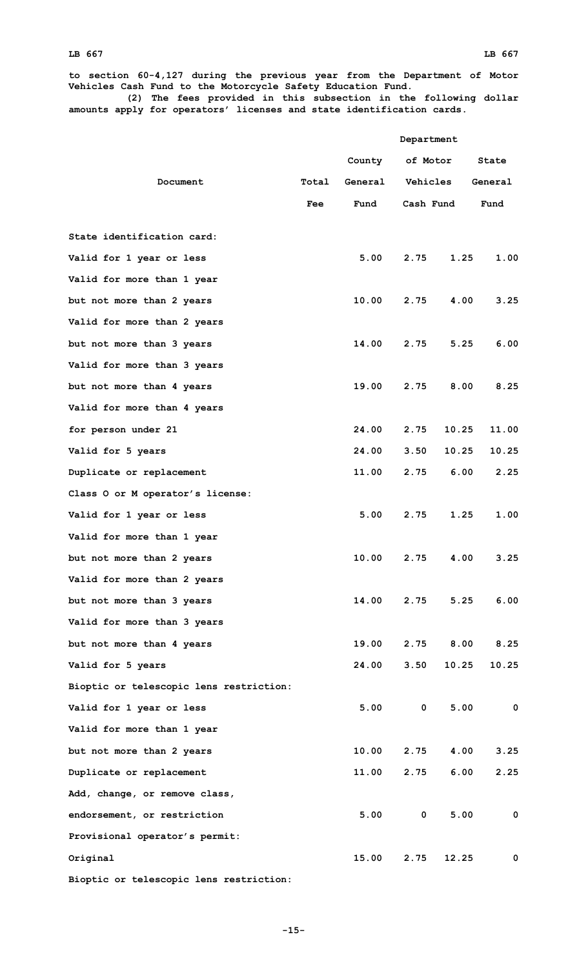**Department**

**to section 60-4,127 during the previous year from the Department of Motor Vehicles Cash Fund to the Motorcycle Safety Education Fund.**

**(2) The fees provided in this subsection in the following dollar amounts apply for operators' licenses and state identification cards.**

|                                         |            | County  | of Motor    |          | State   |  |
|-----------------------------------------|------------|---------|-------------|----------|---------|--|
| Document                                | Total      | General |             | Vehicles | General |  |
|                                         | <b>Fee</b> | Fund    | Cash Fund   |          | Fund    |  |
|                                         |            |         |             |          |         |  |
| State identification card:              |            |         |             |          |         |  |
| Valid for 1 year or less                |            | 5.00    | 2.75        | 1.25     | 1.00    |  |
| Valid for more than 1 year              |            |         |             |          |         |  |
| but not more than 2 years               |            | 10.00   | 2.75        | 4.00     | 3.25    |  |
| Valid for more than 2 years             |            |         |             |          |         |  |
| but not more than 3 years               |            | 14.00   | 2.75        | 5.25     | 6.00    |  |
| Valid for more than 3 years             |            |         |             |          |         |  |
| but not more than 4 years               |            | 19.00   | 2.75        | 8.00     | 8.25    |  |
| Valid for more than 4 years             |            |         |             |          |         |  |
| for person under 21                     |            | 24.00   | 2.75        | 10.25    | 11.00   |  |
| Valid for 5 years                       |            | 24.00   | 3.50        | 10.25    | 10.25   |  |
| Duplicate or replacement                |            | 11.00   | 2.75        | 6.00     | 2.25    |  |
| Class O or M operator's license:        |            |         |             |          |         |  |
| Valid for 1 year or less                |            | 5.00    | 2.75        | 1.25     | 1.00    |  |
| Valid for more than 1 year              |            |         |             |          |         |  |
| but not more than 2 years               |            | 10.00   | 2.75        | 4.00     | 3.25    |  |
| Valid for more than 2 years             |            |         |             |          |         |  |
| but not more than 3 years               |            | 14.00   | 2.75        | 5.25     | 6.00    |  |
| Valid for more than 3 years             |            |         |             |          |         |  |
| but not more than 4 years               |            | 19.00   | 2.75        | 8.00     | 8.25    |  |
| Valid for 5 years                       |            | 24.00   | 3.50        | 10.25    | 10.25   |  |
| Bioptic or telescopic lens restriction: |            |         |             |          |         |  |
| Valid for 1 year or less                |            | 5.00    | $\mathbf 0$ | 5.00     | 0       |  |
| Valid for more than 1 year              |            |         |             |          |         |  |
| but not more than 2 years               |            | 10.00   | 2.75        | 4.00     | 3.25    |  |
| Duplicate or replacement                |            | 11.00   | 2.75        | 6.00     | 2.25    |  |
| Add, change, or remove class,           |            |         |             |          |         |  |
| endorsement, or restriction             |            | 5.00    | $\mathbf 0$ | 5.00     | 0       |  |
| Provisional operator's permit:          |            |         |             |          |         |  |
| Original                                |            | 15.00   | 2.75        | 12.25    | 0       |  |
| Bioptic or telescopic lens restriction: |            |         |             |          |         |  |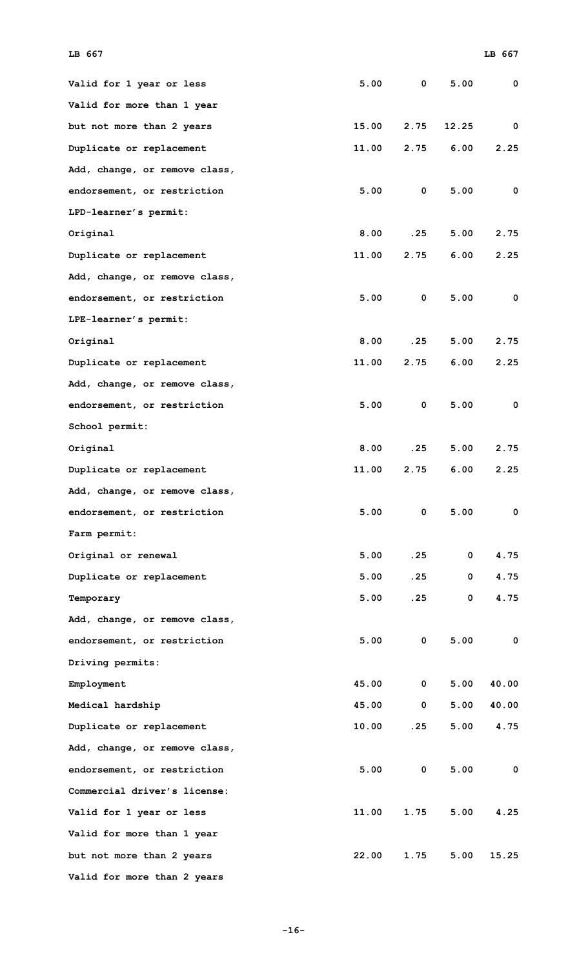| Valid for 1 year or less      | 5.00  | $\mathbf 0$  | 5.00        | 0     |
|-------------------------------|-------|--------------|-------------|-------|
| Valid for more than 1 year    |       |              |             |       |
| but not more than 2 years     | 15.00 | 2.75         | 12.25       | 0     |
| Duplicate or replacement      | 11.00 | 2.75         | 6.00        | 2.25  |
| Add, change, or remove class, |       |              |             |       |
| endorsement, or restriction   | 5.00  | $\mathbf{0}$ | 5.00        | 0     |
| LPD-learner's permit:         |       |              |             |       |
| Original                      | 8.00  | .25          | 5.00        | 2.75  |
| Duplicate or replacement      | 11.00 | 2.75         | 6.00        | 2.25  |
| Add, change, or remove class, |       |              |             |       |
| endorsement, or restriction   | 5.00  | $\mathbf 0$  | 5.00        | 0     |
| LPE-learner's permit:         |       |              |             |       |
| Original                      | 8.00  | .25          | 5.00        | 2.75  |
| Duplicate or replacement      | 11.00 | 2.75         | 6.00        | 2.25  |
| Add, change, or remove class, |       |              |             |       |
| endorsement, or restriction   | 5.00  | $\mathbf 0$  | 5.00        | 0     |
| School permit:                |       |              |             |       |
| Original                      | 8.00  | .25          | 5.00        | 2.75  |
| Duplicate or replacement      | 11.00 | 2.75         | 6.00        | 2.25  |
| Add, change, or remove class, |       |              |             |       |
| endorsement, or restriction   | 5.00  | 0            | 5.00        | 0     |
| Farm permit:                  |       |              |             |       |
| Original or renewal           | 5.00  | .25          | $\mathbf 0$ | 4.75  |
| Duplicate or replacement      | 5.00  | .25          | 0           | 4.75  |
| Temporary                     | 5.00  | .25          | 0           | 4.75  |
| Add, change, or remove class, |       |              |             |       |
| endorsement, or restriction   | 5.00  | $\mathbf 0$  | 5.00        | 0     |
| Driving permits:              |       |              |             |       |
| Employment                    | 45.00 | $\mathbf 0$  | 5.00        | 40.00 |
| Medical hardship              | 45.00 | $\mathbf{0}$ | 5.00        | 40.00 |
| Duplicate or replacement      | 10.00 | .25          | 5.00        | 4.75  |
| Add, change, or remove class, |       |              |             |       |
| endorsement, or restriction   | 5.00  | $\mathbf 0$  | 5.00        | 0     |
| Commercial driver's license:  |       |              |             |       |
| Valid for 1 year or less      | 11.00 | 1.75         | 5.00        | 4.25  |
| Valid for more than 1 year    |       |              |             |       |
| but not more than 2 years     | 22.00 | 1.75         | 5.00        | 15.25 |
| Valid for more than 2 years   |       |              |             |       |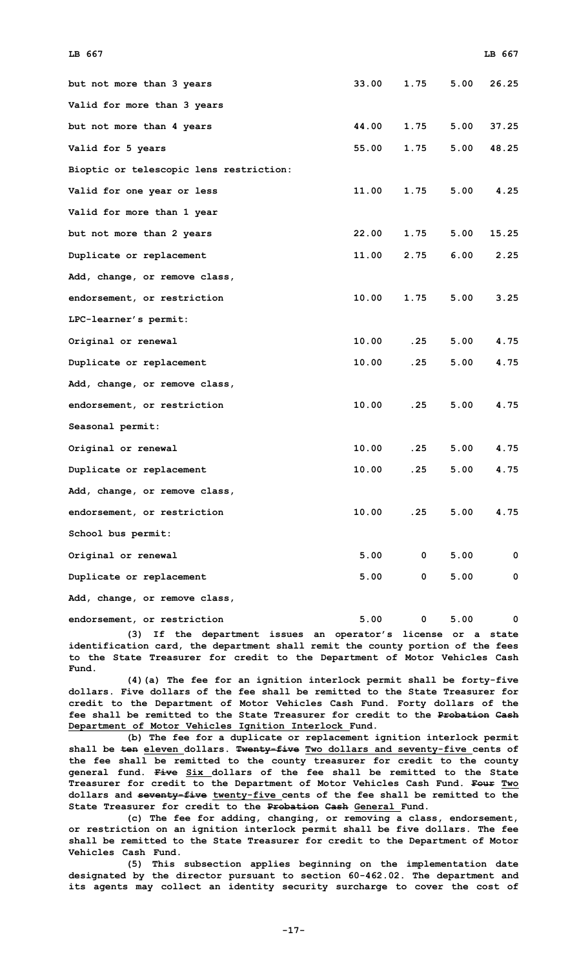| LB 667                                  |       |                |      | LB 667 |
|-----------------------------------------|-------|----------------|------|--------|
| but not more than 3 years               | 33.00 | 1.75           | 5.00 | 26.25  |
| Valid for more than 3 years             |       |                |      |        |
| but not more than 4 years               | 44.00 | 1.75           | 5.00 | 37.25  |
| Valid for 5 years                       | 55.00 | 1.75           | 5.00 | 48.25  |
| Bioptic or telescopic lens restriction: |       |                |      |        |
| Valid for one year or less              | 11.00 | 1.75           | 5.00 | 4.25   |
| Valid for more than 1 year              |       |                |      |        |
| but not more than 2 years               | 22.00 | 1.75           | 5.00 | 15.25  |
| Duplicate or replacement                | 11.00 | 2.75           | 6.00 | 2.25   |
| Add, change, or remove class,           |       |                |      |        |
| endorsement, or restriction             | 10.00 | 1.75           | 5.00 | 3.25   |
| LPC-learner's permit:                   |       |                |      |        |
| Original or renewal                     | 10.00 | .25            | 5.00 | 4.75   |
| Duplicate or replacement                | 10.00 | .25            | 5.00 | 4.75   |
| Add, change, or remove class,           |       |                |      |        |
| endorsement, or restriction             | 10.00 | .25            | 5.00 | 4.75   |
| Seasonal permit:                        |       |                |      |        |
| Original or renewal                     | 10.00 | .25            | 5.00 | 4.75   |
| Duplicate or replacement                | 10.00 | .25            | 5.00 | 4.75   |
| Add, change, or remove class,           |       |                |      |        |
| endorsement, or restriction             | 10.00 | .25            | 5.00 | 4.75   |
| School bus permit:                      |       |                |      |        |
| Original or renewal                     | 5.00  | $\mathbf{0}$   | 5.00 | 0      |
| Duplicate or replacement                | 5.00  | $\overline{0}$ | 5.00 | 0      |
| Add, change, or remove class,           |       |                |      |        |

**(3) If the department issues an operator's license or <sup>a</sup> state identification card, the department shall remit the county portion of the fees to the State Treasurer for credit to the Department of Motor Vehicles Cash Fund.**

**endorsement, or restriction 5.00 0 5.00 0**

**(4)(a) The fee for an ignition interlock permit shall be forty-five dollars. Five dollars of the fee shall be remitted to the State Treasurer for credit to the Department of Motor Vehicles Cash Fund. Forty dollars of the fee shall be remitted to the State Treasurer for credit to the Probation Cash Department of Motor Vehicles Ignition Interlock Fund.**

**(b) The fee for <sup>a</sup> duplicate or replacement ignition interlock permit shall be ten eleven dollars. Twenty-five Two dollars and seventy-five cents of the fee shall be remitted to the county treasurer for credit to the county general fund. Five Six dollars of the fee shall be remitted to the State Treasurer for credit to the Department of Motor Vehicles Cash Fund. Four Two dollars and seventy-five twenty-five cents of the fee shall be remitted to the State Treasurer for credit to the Probation Cash General Fund.**

**(c) The fee for adding, changing, or removing <sup>a</sup> class, endorsement, or restriction on an ignition interlock permit shall be five dollars. The fee shall be remitted to the State Treasurer for credit to the Department of Motor Vehicles Cash Fund.**

**(5) This subsection applies beginning on the implementation date designated by the director pursuant to section 60-462.02. The department and its agents may collect an identity security surcharge to cover the cost of**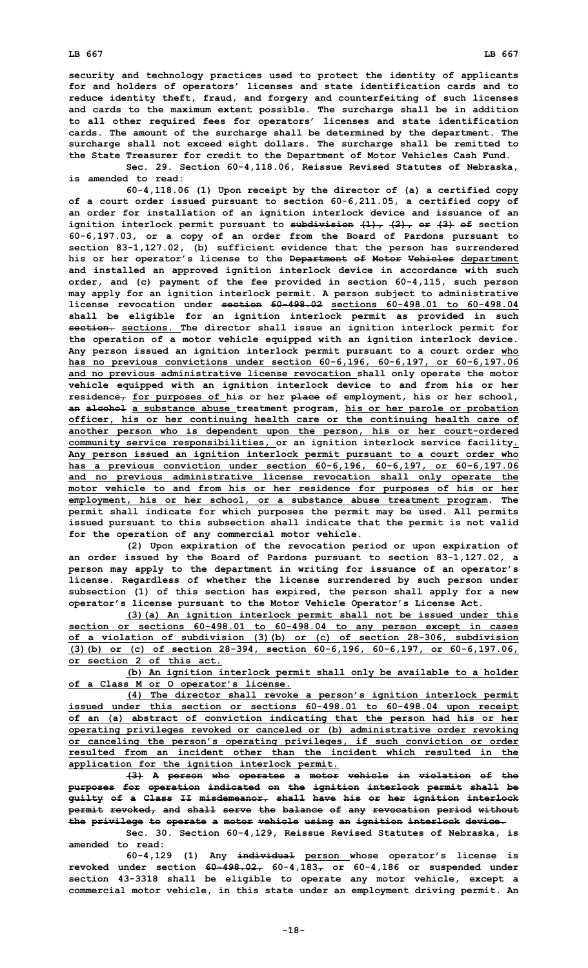**security and technology practices used to protect the identity of applicants for and holders of operators' licenses and state identification cards and to reduce identity theft, fraud, and forgery and counterfeiting of such licenses and cards to the maximum extent possible. The surcharge shall be in addition to all other required fees for operators' licenses and state identification cards. The amount of the surcharge shall be determined by the department. The surcharge shall not exceed eight dollars. The surcharge shall be remitted to the State Treasurer for credit to the Department of Motor Vehicles Cash Fund.**

**Sec. 29. Section 60-4,118.06, Reissue Revised Statutes of Nebraska, is amended to read:**

**60-4,118.06 (1) Upon receipt by the director of (a) <sup>a</sup> certified copy of <sup>a</sup> court order issued pursuant to section 60-6,211.05, <sup>a</sup> certified copy of an order for installation of an ignition interlock device and issuance of an ignition interlock permit pursuant to subdivision (1), (2), or (3) of section 60-6,197.03, or <sup>a</sup> copy of an order from the Board of Pardons pursuant to section 83-1,127.02, (b) sufficient evidence that the person has surrendered his or her operator's license to the Department of Motor Vehicles department and installed an approved ignition interlock device in accordance with such order, and (c) payment of the fee provided in section 60-4,115, such person may apply for an ignition interlock permit. A person subject to administrative license revocation under section 60-498.02 sections 60-498.01 to 60-498.04 shall be eligible for an ignition interlock permit as provided in such section. sections. The director shall issue an ignition interlock permit for the operation of <sup>a</sup> motor vehicle equipped with an ignition interlock device. Any person issued an ignition interlock permit pursuant to <sup>a</sup> court order who has no previous convictions under section 60-6,196, 60-6,197, or 60-6,197.06 and no previous administrative license revocation shall only operate the motor vehicle equipped with an ignition interlock device to and from his or her residence, for purposes of his or her place of employment, his or her school, an alcohol <sup>a</sup> substance abuse treatment program, his or her parole or probation officer, his or her continuing health care or the continuing health care of another person who is dependent upon the person, his or her court-ordered community service responsibilities, or an ignition interlock service facility. Any person issued an ignition interlock permit pursuant to <sup>a</sup> court order who has <sup>a</sup> previous conviction under section 60-6,196, 60-6,197, or 60-6,197.06 and no previous administrative license revocation shall only operate the motor vehicle to and from his or her residence for purposes of his or her employment, his or her school, or <sup>a</sup> substance abuse treatment program. The permit shall indicate for which purposes the permit may be used. All permits issued pursuant to this subsection shall indicate that the permit is not valid for the operation of any commercial motor vehicle.**

**(2) Upon expiration of the revocation period or upon expiration of an order issued by the Board of Pardons pursuant to section 83-1,127.02, <sup>a</sup> person may apply to the department in writing for issuance of an operator's license. Regardless of whether the license surrendered by such person under subsection (1) of this section has expired, the person shall apply for <sup>a</sup> new operator's license pursuant to the Motor Vehicle Operator's License Act.**

**(3)(a) An ignition interlock permit shall not be issued under this section or sections 60-498.01 to 60-498.04 to any person except in cases of <sup>a</sup> violation of subdivision (3)(b) or (c) of section 28-306, subdivision (3)(b) or (c) of section 28-394, section 60-6,196, 60-6,197, or 60-6,197.06, or section 2 of this act.**

**(b) An ignition interlock permit shall only be available to <sup>a</sup> holder of <sup>a</sup> Class M or O operator's license.**

**(4) The director shall revoke <sup>a</sup> person's ignition interlock permit issued under this section or sections 60-498.01 to 60-498.04 upon receipt of an (a) abstract of conviction indicating that the person had his or her operating privileges revoked or canceled or (b) administrative order revoking or canceling the person's operating privileges, if such conviction or order resulted from an incident other than the incident which resulted in the application for the ignition interlock permit.**

**(3) <sup>A</sup> person who operates <sup>a</sup> motor vehicle in violation of the purposes for operation indicated on the ignition interlock permit shall be guilty of <sup>a</sup> Class II misdemeanor, shall have his or her ignition interlock permit revoked, and shall serve the balance of any revocation period without the privilege to operate <sup>a</sup> motor vehicle using an ignition interlock device.**

**Sec. 30. Section 60-4,129, Reissue Revised Statutes of Nebraska, is amended to read:**

**60-4,129 (1) Any individual person whose operator's license is** revoked under section  $60-498.02$ ,  $60-4.183$ , or  $60-4.186$  or suspended under **section 43-3318 shall be eligible to operate any motor vehicle, except <sup>a</sup> commercial motor vehicle, in this state under an employment driving permit. An**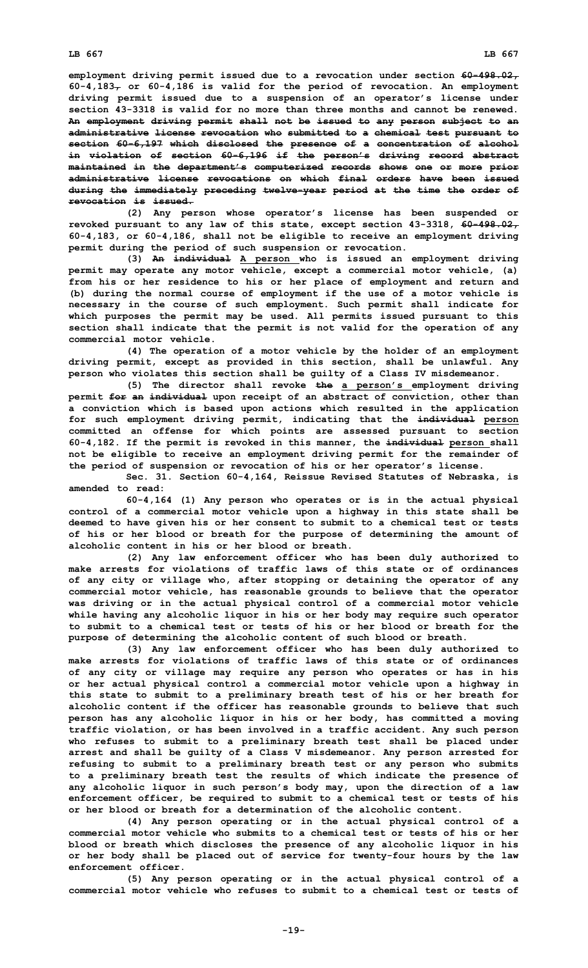**revocation is issued.**

**employment driving permit issued due to <sup>a</sup> revocation under section 60-498.02,**  $60-4,183$ <sub> $\tau$ </sub> or  $60-4,186$  is valid for the period of revocation. An employment **driving permit issued due to <sup>a</sup> suspension of an operator's license under section 43-3318 is valid for no more than three months and cannot be renewed. An employment driving permit shall not be issued to any person subject to an administrative license revocation who submitted to <sup>a</sup> chemical test pursuant to section 60-6,197 which disclosed the presence of <sup>a</sup> concentration of alcohol in violation of section 60-6,196 if the person's driving record abstract maintained in the department's computerized records shows one or more prior administrative license revocations on which final orders have been issued during the immediately preceding twelve-year period at the time the order of**

**(2) Any person whose operator's license has been suspended or revoked pursuant to any law of this state, except section 43-3318, 60-498.02, 60-4,183, or 60-4,186, shall not be eligible to receive an employment driving permit during the period of such suspension or revocation.**

**(3) An individual <sup>A</sup> person who is issued an employment driving permit may operate any motor vehicle, except <sup>a</sup> commercial motor vehicle, (a) from his or her residence to his or her place of employment and return and (b) during the normal course of employment if the use of <sup>a</sup> motor vehicle is necessary in the course of such employment. Such permit shall indicate for which purposes the permit may be used. All permits issued pursuant to this section shall indicate that the permit is not valid for the operation of any commercial motor vehicle.**

**(4) The operation of <sup>a</sup> motor vehicle by the holder of an employment driving permit, except as provided in this section, shall be unlawful. Any person who violates this section shall be guilty of <sup>a</sup> Class IV misdemeanor.**

**(5) The director shall revoke the <sup>a</sup> person's employment driving permit for an individual upon receipt of an abstract of conviction, other than <sup>a</sup> conviction which is based upon actions which resulted in the application for such employment driving permit, indicating that the individual person committed an offense for which points are assessed pursuant to section 60-4,182. If the permit is revoked in this manner, the individual person shall not be eligible to receive an employment driving permit for the remainder of the period of suspension or revocation of his or her operator's license.**

**Sec. 31. Section 60-4,164, Reissue Revised Statutes of Nebraska, is amended to read:**

**60-4,164 (1) Any person who operates or is in the actual physical control of <sup>a</sup> commercial motor vehicle upon <sup>a</sup> highway in this state shall be deemed to have given his or her consent to submit to <sup>a</sup> chemical test or tests of his or her blood or breath for the purpose of determining the amount of alcoholic content in his or her blood or breath.**

**(2) Any law enforcement officer who has been duly authorized to make arrests for violations of traffic laws of this state or of ordinances of any city or village who, after stopping or detaining the operator of any commercial motor vehicle, has reasonable grounds to believe that the operator was driving or in the actual physical control of <sup>a</sup> commercial motor vehicle while having any alcoholic liquor in his or her body may require such operator to submit to a chemical test or tests of his or her blood or breath for the purpose of determining the alcoholic content of such blood or breath.**

**(3) Any law enforcement officer who has been duly authorized to make arrests for violations of traffic laws of this state or of ordinances of any city or village may require any person who operates or has in his or her actual physical control <sup>a</sup> commercial motor vehicle upon <sup>a</sup> highway in this state to submit to <sup>a</sup> preliminary breath test of his or her breath for alcoholic content if the officer has reasonable grounds to believe that such person has any alcoholic liquor in his or her body, has committed <sup>a</sup> moving traffic violation, or has been involved in <sup>a</sup> traffic accident. Any such person who refuses to submit to <sup>a</sup> preliminary breath test shall be placed under arrest and shall be guilty of <sup>a</sup> Class V misdemeanor. Any person arrested for refusing to submit to <sup>a</sup> preliminary breath test or any person who submits to <sup>a</sup> preliminary breath test the results of which indicate the presence of any alcoholic liquor in such person's body may, upon the direction of <sup>a</sup> law enforcement officer, be required to submit to <sup>a</sup> chemical test or tests of his or her blood or breath for a determination of the alcoholic content.**

**(4) Any person operating or in the actual physical control of <sup>a</sup> commercial motor vehicle who submits to a chemical test or tests of his or her blood or breath which discloses the presence of any alcoholic liquor in his or her body shall be placed out of service for twenty-four hours by the law enforcement officer.**

**(5) Any person operating or in the actual physical control of <sup>a</sup> commercial motor vehicle who refuses to submit to a chemical test or tests of**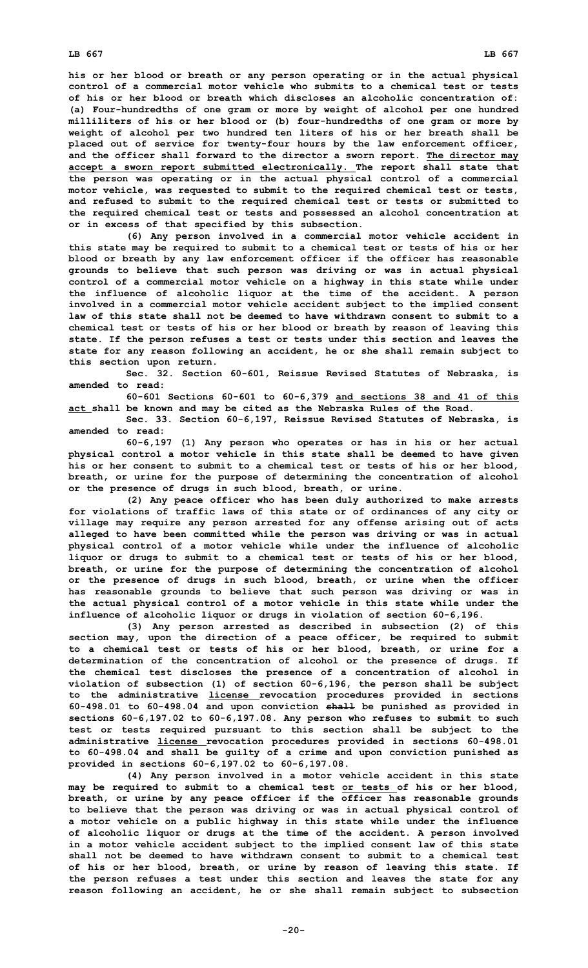**his or her blood or breath or any person operating or in the actual physical control of a commercial motor vehicle who submits to a chemical test or tests of his or her blood or breath which discloses an alcoholic concentration of: (a) Four-hundredths of one gram or more by weight of alcohol per one hundred milliliters of his or her blood or (b) four-hundredths of one gram or more by weight of alcohol per two hundred ten liters of his or her breath shall be placed out of service for twenty-four hours by the law enforcement officer, and the officer shall forward to the director <sup>a</sup> sworn report. The director may accept <sup>a</sup> sworn report submitted electronically. The report shall state that the person was operating or in the actual physical control of <sup>a</sup> commercial motor vehicle, was requested to submit to the required chemical test or tests, and refused to submit to the required chemical test or tests or submitted to the required chemical test or tests and possessed an alcohol concentration at or in excess of that specified by this subsection.**

**(6) Any person involved in <sup>a</sup> commercial motor vehicle accident in this state may be required to submit to <sup>a</sup> chemical test or tests of his or her blood or breath by any law enforcement officer if the officer has reasonable grounds to believe that such person was driving or was in actual physical control of <sup>a</sup> commercial motor vehicle on <sup>a</sup> highway in this state while under the influence of alcoholic liquor at the time of the accident. A person involved in <sup>a</sup> commercial motor vehicle accident subject to the implied consent law of this state shall not be deemed to have withdrawn consent to submit to a chemical test or tests of his or her blood or breath by reason of leaving this state. If the person refuses <sup>a</sup> test or tests under this section and leaves the state for any reason following an accident, he or she shall remain subject to this section upon return.**

**Sec. 32. Section 60-601, Reissue Revised Statutes of Nebraska, is amended to read:**

**60-601 Sections 60-601 to 60-6,379 and sections 38 and 41 of this act shall be known and may be cited as the Nebraska Rules of the Road.**

**Sec. 33. Section 60-6,197, Reissue Revised Statutes of Nebraska, is amended to read:**

**60-6,197 (1) Any person who operates or has in his or her actual physical control <sup>a</sup> motor vehicle in this state shall be deemed to have given his or her consent to submit to <sup>a</sup> chemical test or tests of his or her blood, breath, or urine for the purpose of determining the concentration of alcohol or the presence of drugs in such blood, breath, or urine.**

**(2) Any peace officer who has been duly authorized to make arrests for violations of traffic laws of this state or of ordinances of any city or village may require any person arrested for any offense arising out of acts alleged to have been committed while the person was driving or was in actual physical control of <sup>a</sup> motor vehicle while under the influence of alcoholic liquor or drugs to submit to <sup>a</sup> chemical test or tests of his or her blood, breath, or urine for the purpose of determining the concentration of alcohol or the presence of drugs in such blood, breath, or urine when the officer has reasonable grounds to believe that such person was driving or was in the actual physical control of <sup>a</sup> motor vehicle in this state while under the influence of alcoholic liquor or drugs in violation of section 60-6,196.**

**(3) Any person arrested as described in subsection (2) of this section may, upon the direction of <sup>a</sup> peace officer, be required to submit to <sup>a</sup> chemical test or tests of his or her blood, breath, or urine for <sup>a</sup> determination of the concentration of alcohol or the presence of drugs. If the chemical test discloses the presence of <sup>a</sup> concentration of alcohol in violation of subsection (1) of section 60-6,196, the person shall be subject to the administrative license revocation procedures provided in sections 60-498.01 to 60-498.04 and upon conviction shall be punished as provided in sections 60-6,197.02 to 60-6,197.08. Any person who refuses to submit to such test or tests required pursuant to this section shall be subject to the administrative license revocation procedures provided in sections 60-498.01 to 60-498.04 and shall be guilty of <sup>a</sup> crime and upon conviction punished as provided in sections 60-6,197.02 to 60-6,197.08.**

**(4) Any person involved in <sup>a</sup> motor vehicle accident in this state may be required to submit to <sup>a</sup> chemical test or tests of his or her blood, breath, or urine by any peace officer if the officer has reasonable grounds to believe that the person was driving or was in actual physical control of <sup>a</sup> motor vehicle on <sup>a</sup> public highway in this state while under the influence of alcoholic liquor or drugs at the time of the accident. A person involved in <sup>a</sup> motor vehicle accident subject to the implied consent law of this state shall not be deemed to have withdrawn consent to submit to a chemical test of his or her blood, breath, or urine by reason of leaving this state. If the person refuses <sup>a</sup> test under this section and leaves the state for any reason following an accident, he or she shall remain subject to subsection**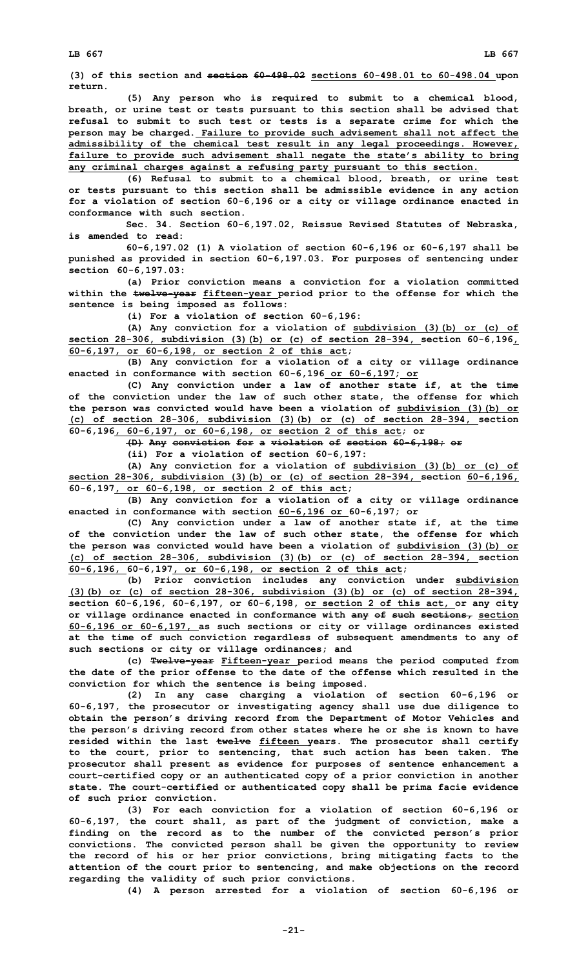**(3) of this section and section 60-498.02 sections 60-498.01 to 60-498.04 upon return.**

**(5) Any person who is required to submit to <sup>a</sup> chemical blood, breath, or urine test or tests pursuant to this section shall be advised that refusal to submit to such test or tests is <sup>a</sup> separate crime for which the person may be charged. Failure to provide such advisement shall not affect the admissibility of the chemical test result in any legal proceedings. However, failure to provide such advisement shall negate the state's ability to bring any criminal charges against <sup>a</sup> refusing party pursuant to this section.**

**(6) Refusal to submit to <sup>a</sup> chemical blood, breath, or urine test or tests pursuant to this section shall be admissible evidence in any action for <sup>a</sup> violation of section 60-6,196 or <sup>a</sup> city or village ordinance enacted in conformance with such section.**

**Sec. 34. Section 60-6,197.02, Reissue Revised Statutes of Nebraska, is amended to read:**

**60-6,197.02 (1) A violation of section 60-6,196 or 60-6,197 shall be punished as provided in section 60-6,197.03. For purposes of sentencing under section 60-6,197.03:**

**(a) Prior conviction means <sup>a</sup> conviction for <sup>a</sup> violation committed within the twelve-year fifteen-year period prior to the offense for which the sentence is being imposed as follows:**

**(i) For <sup>a</sup> violation of section 60-6,196:**

**(A) Any conviction for <sup>a</sup> violation of subdivision (3)(b) or (c) of section 28-306, subdivision (3)(b) or (c) of section 28-394, section 60-6,196, 60-6,197, or 60-6,198, or section 2 of this act;**

**(B) Any conviction for <sup>a</sup> violation of <sup>a</sup> city or village ordinance enacted in conformance with section 60-6,196 or 60-6,197; or**

**(C) Any conviction under <sup>a</sup> law of another state if, at the time of the conviction under the law of such other state, the offense for which the person was convicted would have been <sup>a</sup> violation of subdivision (3)(b) or (c) of section 28-306, subdivision (3)(b) or (c) of section 28-394, section 60-6,196, 60-6,197, or 60-6,198, or section 2 of this act; or**

**(D) Any conviction for <sup>a</sup> violation of section 60-6,198; or**

**(ii) For <sup>a</sup> violation of section 60-6,197:**

**(A) Any conviction for <sup>a</sup> violation of subdivision (3)(b) or (c) of section 28-306, subdivision (3)(b) or (c) of section 28-394, section 60-6,196, 60-6,197, or 60-6,198, or section 2 of this act;**

**(B) Any conviction for <sup>a</sup> violation of <sup>a</sup> city or village ordinance enacted in conformance with section 60-6,196 or 60-6,197; or**

**(C) Any conviction under <sup>a</sup> law of another state if, at the time of the conviction under the law of such other state, the offense for which the person was convicted would have been <sup>a</sup> violation of subdivision (3)(b) or (c) of section 28-306, subdivision (3)(b) or (c) of section 28-394, section 60-6,196, 60-6,197, or 60-6,198, or section 2 of this act;**

**(b) Prior conviction includes any conviction under subdivision (3)(b) or (c) of section 28-306, subdivision (3)(b) or (c) of section 28-394, section 60-6,196, 60-6,197, or 60-6,198, or section 2 of this act, or any city or village ordinance enacted in conformance with any of such sections, section 60-6,196 or 60-6,197, as such sections or city or village ordinances existed at the time of such conviction regardless of subsequent amendments to any of such sections or city or village ordinances; and**

**(c) Twelve-year Fifteen-year period means the period computed from the date of the prior offense to the date of the offense which resulted in the conviction for which the sentence is being imposed.**

**(2) In any case charging <sup>a</sup> violation of section 60-6,196 or 60-6,197, the prosecutor or investigating agency shall use due diligence to obtain the person's driving record from the Department of Motor Vehicles and the person's driving record from other states where he or she is known to have resided within the last twelve fifteen years. The prosecutor shall certify to the court, prior to sentencing, that such action has been taken. The prosecutor shall present as evidence for purposes of sentence enhancement <sup>a</sup> court-certified copy or an authenticated copy of <sup>a</sup> prior conviction in another state. The court-certified or authenticated copy shall be prima facie evidence of such prior conviction.**

**(3) For each conviction for <sup>a</sup> violation of section 60-6,196 or 60-6,197, the court shall, as part of the judgment of conviction, make <sup>a</sup> finding on the record as to the number of the convicted person's prior convictions. The convicted person shall be given the opportunity to review the record of his or her prior convictions, bring mitigating facts to the attention of the court prior to sentencing, and make objections on the record regarding the validity of such prior convictions.**

**(4) <sup>A</sup> person arrested for <sup>a</sup> violation of section 60-6,196 or**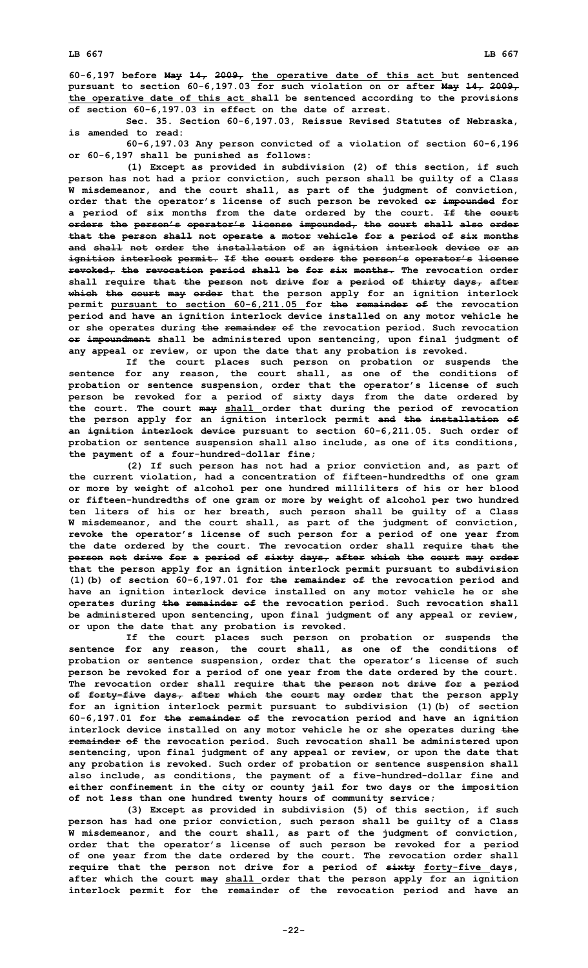**60-6,197 before May 14, 2009, the operative date of this act but sentenced pursuant to section 60-6,197.03 for such violation on or after May 14, 2009, the operative date of this act shall be sentenced according to the provisions of section 60-6,197.03 in effect on the date of arrest.**

**Sec. 35. Section 60-6,197.03, Reissue Revised Statutes of Nebraska, is amended to read:**

**60-6,197.03 Any person convicted of <sup>a</sup> violation of section 60-6,196 or 60-6,197 shall be punished as follows:**

**(1) Except as provided in subdivision (2) of this section, if such person has not had <sup>a</sup> prior conviction, such person shall be guilty of <sup>a</sup> Class W misdemeanor, and the court shall, as part of the judgment of conviction, order that the operator's license of such person be revoked or impounded for <sup>a</sup> period of six months from the date ordered by the court. If the court orders the person's operator's license impounded, the court shall also order that the person shall not operate <sup>a</sup> motor vehicle for <sup>a</sup> period of six months and shall not order the installation of an ignition interlock device or an ignition interlock permit. If the court orders the person's operator's license revoked, the revocation period shall be for six months. The revocation order shall require that the person not drive for <sup>a</sup> period of thirty days, after which the court may order that the person apply for an ignition interlock permit pursuant to section 60-6,211.05 for the remainder of the revocation period and have an ignition interlock device installed on any motor vehicle he or she operates during the remainder of the revocation period. Such revocation or impoundment shall be administered upon sentencing, upon final judgment of any appeal or review, or upon the date that any probation is revoked.**

**If the court places such person on probation or suspends the sentence for any reason, the court shall, as one of the conditions of probation or sentence suspension, order that the operator's license of such person be revoked for <sup>a</sup> period of sixty days from the date ordered by the court. The court may shall order that during the period of revocation the person apply for an ignition interlock permit and the installation of an ignition interlock device pursuant to section 60-6,211.05. Such order of probation or sentence suspension shall also include, as one of its conditions, the payment of <sup>a</sup> four-hundred-dollar fine;**

**(2) If such person has not had <sup>a</sup> prior conviction and, as part of the current violation, had <sup>a</sup> concentration of fifteen-hundredths of one gram or more by weight of alcohol per one hundred milliliters of his or her blood or fifteen-hundredths of one gram or more by weight of alcohol per two hundred ten liters of his or her breath, such person shall be guilty of <sup>a</sup> Class W misdemeanor, and the court shall, as part of the judgment of conviction, revoke the operator's license of such person for <sup>a</sup> period of one year from the date ordered by the court. The revocation order shall require that the person not drive for <sup>a</sup> period of sixty days, after which the court may order that the person apply for an ignition interlock permit pursuant to subdivision (1)(b) of section 60-6,197.01 for the remainder of the revocation period and have an ignition interlock device installed on any motor vehicle he or she operates during the remainder of the revocation period. Such revocation shall be administered upon sentencing, upon final judgment of any appeal or review, or upon the date that any probation is revoked.**

**If the court places such person on probation or suspends the sentence for any reason, the court shall, as one of the conditions of probation or sentence suspension, order that the operator's license of such person be revoked for <sup>a</sup> period of one year from the date ordered by the court. The revocation order shall require that the person not drive for <sup>a</sup> period of forty-five days, after which the court may order that the person apply for an ignition interlock permit pursuant to subdivision (1)(b) of section 60-6,197.01 for the remainder of the revocation period and have an ignition interlock device installed on any motor vehicle he or she operates during the remainder of the revocation period. Such revocation shall be administered upon sentencing, upon final judgment of any appeal or review, or upon the date that any probation is revoked. Such order of probation or sentence suspension shall also include, as conditions, the payment of <sup>a</sup> five-hundred-dollar fine and either confinement in the city or county jail for two days or the imposition of not less than one hundred twenty hours of community service;**

**(3) Except as provided in subdivision (5) of this section, if such person has had one prior conviction, such person shall be guilty of <sup>a</sup> Class W misdemeanor, and the court shall, as part of the judgment of conviction, order that the operator's license of such person be revoked for <sup>a</sup> period of one year from the date ordered by the court. The revocation order shall require that the person not drive for <sup>a</sup> period of sixty forty-five days, after which the court may shall order that the person apply for an ignition interlock permit for the remainder of the revocation period and have an**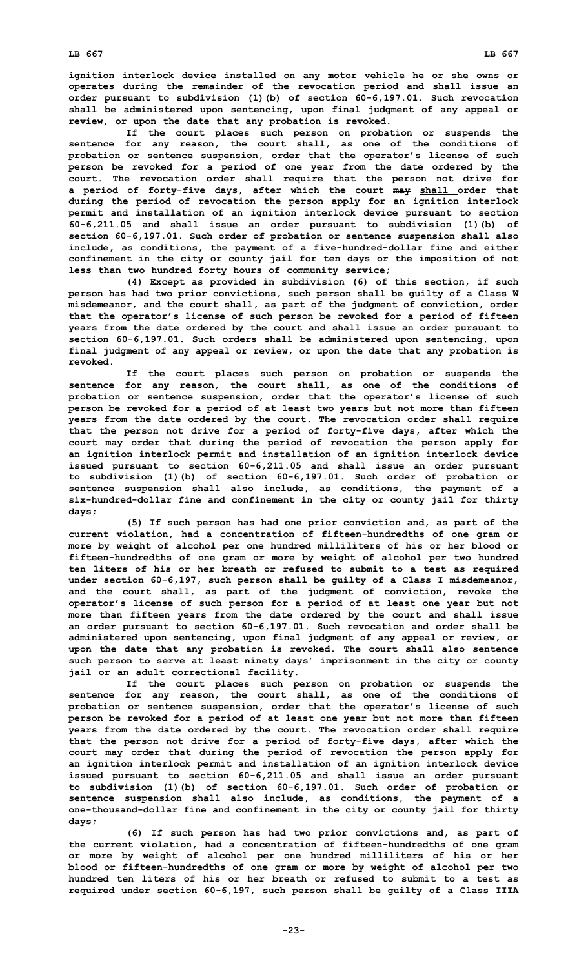**ignition interlock device installed on any motor vehicle he or she owns or operates during the remainder of the revocation period and shall issue an order pursuant to subdivision (1)(b) of section 60-6,197.01. Such revocation shall be administered upon sentencing, upon final judgment of any appeal or review, or upon the date that any probation is revoked.**

**If the court places such person on probation or suspends the sentence for any reason, the court shall, as one of the conditions of probation or sentence suspension, order that the operator's license of such person be revoked for <sup>a</sup> period of one year from the date ordered by the court. The revocation order shall require that the person not drive for <sup>a</sup> period of forty-five days, after which the court may shall order that during the period of revocation the person apply for an ignition interlock permit and installation of an ignition interlock device pursuant to section 60-6,211.05 and shall issue an order pursuant to subdivision (1)(b) of section 60-6,197.01. Such order of probation or sentence suspension shall also include, as conditions, the payment of <sup>a</sup> five-hundred-dollar fine and either confinement in the city or county jail for ten days or the imposition of not less than two hundred forty hours of community service;**

**(4) Except as provided in subdivision (6) of this section, if such person has had two prior convictions, such person shall be guilty of <sup>a</sup> Class W misdemeanor, and the court shall, as part of the judgment of conviction, order that the operator's license of such person be revoked for <sup>a</sup> period of fifteen years from the date ordered by the court and shall issue an order pursuant to section 60-6,197.01. Such orders shall be administered upon sentencing, upon final judgment of any appeal or review, or upon the date that any probation is revoked.**

**If the court places such person on probation or suspends the sentence for any reason, the court shall, as one of the conditions of probation or sentence suspension, order that the operator's license of such person be revoked for <sup>a</sup> period of at least two years but not more than fifteen years from the date ordered by the court. The revocation order shall require that the person not drive for <sup>a</sup> period of forty-five days, after which the court may order that during the period of revocation the person apply for an ignition interlock permit and installation of an ignition interlock device issued pursuant to section 60-6,211.05 and shall issue an order pursuant to subdivision (1)(b) of section 60-6,197.01. Such order of probation or sentence suspension shall also include, as conditions, the payment of <sup>a</sup> six-hundred-dollar fine and confinement in the city or county jail for thirty days;**

**(5) If such person has had one prior conviction and, as part of the current violation, had <sup>a</sup> concentration of fifteen-hundredths of one gram or more by weight of alcohol per one hundred milliliters of his or her blood or fifteen-hundredths of one gram or more by weight of alcohol per two hundred ten liters of his or her breath or refused to submit to <sup>a</sup> test as required under section 60-6,197, such person shall be guilty of <sup>a</sup> Class <sup>I</sup> misdemeanor, and the court shall, as part of the judgment of conviction, revoke the operator's license of such person for <sup>a</sup> period of at least one year but not more than fifteen years from the date ordered by the court and shall issue an order pursuant to section 60-6,197.01. Such revocation and order shall be administered upon sentencing, upon final judgment of any appeal or review, or upon the date that any probation is revoked. The court shall also sentence such person to serve at least ninety days' imprisonment in the city or county jail or an adult correctional facility.**

**If the court places such person on probation or suspends the sentence for any reason, the court shall, as one of the conditions of probation or sentence suspension, order that the operator's license of such person be revoked for <sup>a</sup> period of at least one year but not more than fifteen years from the date ordered by the court. The revocation order shall require that the person not drive for <sup>a</sup> period of forty-five days, after which the court may order that during the period of revocation the person apply for an ignition interlock permit and installation of an ignition interlock device issued pursuant to section 60-6,211.05 and shall issue an order pursuant to subdivision (1)(b) of section 60-6,197.01. Such order of probation or sentence suspension shall also include, as conditions, the payment of <sup>a</sup> one-thousand-dollar fine and confinement in the city or county jail for thirty days;**

**(6) If such person has had two prior convictions and, as part of the current violation, had <sup>a</sup> concentration of fifteen-hundredths of one gram or more by weight of alcohol per one hundred milliliters of his or her blood or fifteen-hundredths of one gram or more by weight of alcohol per two hundred ten liters of his or her breath or refused to submit to a test as required under section 60-6,197, such person shall be guilty of <sup>a</sup> Class IIIA**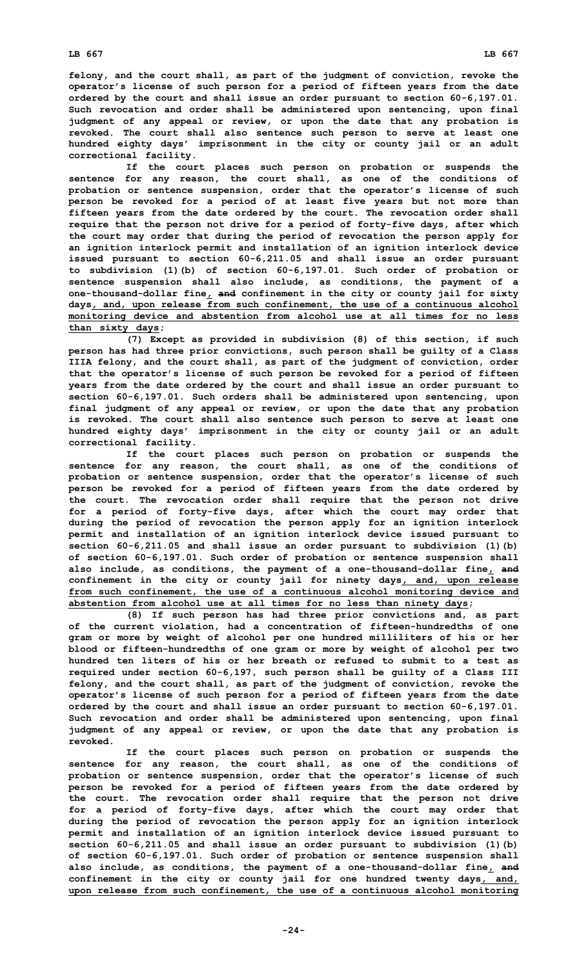**felony, and the court shall, as part of the judgment of conviction, revoke the operator's license of such person for <sup>a</sup> period of fifteen years from the date ordered by the court and shall issue an order pursuant to section 60-6,197.01. Such revocation and order shall be administered upon sentencing, upon final judgment of any appeal or review, or upon the date that any probation is revoked. The court shall also sentence such person to serve at least one hundred eighty days' imprisonment in the city or county jail or an adult correctional facility.**

**If the court places such person on probation or suspends the sentence for any reason, the court shall, as one of the conditions of probation or sentence suspension, order that the operator's license of such person be revoked for <sup>a</sup> period of at least five years but not more than fifteen years from the date ordered by the court. The revocation order shall require that the person not drive for <sup>a</sup> period of forty-five days, after which the court may order that during the period of revocation the person apply for an ignition interlock permit and installation of an ignition interlock device issued pursuant to section 60-6,211.05 and shall issue an order pursuant to subdivision (1)(b) of section 60-6,197.01. Such order of probation or sentence suspension shall also include, as conditions, the payment of <sup>a</sup> one-thousand-dollar fine, and confinement in the city or county jail for sixty days, and, upon release from such confinement, the use of <sup>a</sup> continuous alcohol monitoring device and abstention from alcohol use at all times for no less than sixty days;**

**(7) Except as provided in subdivision (8) of this section, if such person has had three prior convictions, such person shall be guilty of <sup>a</sup> Class IIIA felony, and the court shall, as part of the judgment of conviction, order that the operator's license of such person be revoked for <sup>a</sup> period of fifteen years from the date ordered by the court and shall issue an order pursuant to section 60-6,197.01. Such orders shall be administered upon sentencing, upon final judgment of any appeal or review, or upon the date that any probation is revoked. The court shall also sentence such person to serve at least one hundred eighty days' imprisonment in the city or county jail or an adult correctional facility.**

**If the court places such person on probation or suspends the sentence for any reason, the court shall, as one of the conditions of probation or sentence suspension, order that the operator's license of such person be revoked for <sup>a</sup> period of fifteen years from the date ordered by the court. The revocation order shall require that the person not drive for <sup>a</sup> period of forty-five days, after which the court may order that during the period of revocation the person apply for an ignition interlock permit and installation of an ignition interlock device issued pursuant to section 60-6,211.05 and shall issue an order pursuant to subdivision (1)(b) of section 60-6,197.01. Such order of probation or sentence suspension shall also include, as conditions, the payment of <sup>a</sup> one-thousand-dollar fine, and confinement in the city or county jail for ninety days, and, upon release from such confinement, the use of <sup>a</sup> continuous alcohol monitoring device and abstention from alcohol use at all times for no less than ninety days;**

**(8) If such person has had three prior convictions and, as part of the current violation, had <sup>a</sup> concentration of fifteen-hundredths of one gram or more by weight of alcohol per one hundred milliliters of his or her blood or fifteen-hundredths of one gram or more by weight of alcohol per two hundred ten liters of his or her breath or refused to submit to a test as required under section 60-6,197, such person shall be guilty of <sup>a</sup> Class III felony, and the court shall, as part of the judgment of conviction, revoke the operator's license of such person for <sup>a</sup> period of fifteen years from the date ordered by the court and shall issue an order pursuant to section 60-6,197.01. Such revocation and order shall be administered upon sentencing, upon final judgment of any appeal or review, or upon the date that any probation is revoked.**

**If the court places such person on probation or suspends the sentence for any reason, the court shall, as one of the conditions of probation or sentence suspension, order that the operator's license of such person be revoked for <sup>a</sup> period of fifteen years from the date ordered by the court. The revocation order shall require that the person not drive for <sup>a</sup> period of forty-five days, after which the court may order that during the period of revocation the person apply for an ignition interlock permit and installation of an ignition interlock device issued pursuant to section 60-6,211.05 and shall issue an order pursuant to subdivision (1)(b) of section 60-6,197.01. Such order of probation or sentence suspension shall also include, as conditions, the payment of <sup>a</sup> one-thousand-dollar fine, and confinement in the city or county jail for one hundred twenty days, and, upon release from such confinement, the use of <sup>a</sup> continuous alcohol monitoring**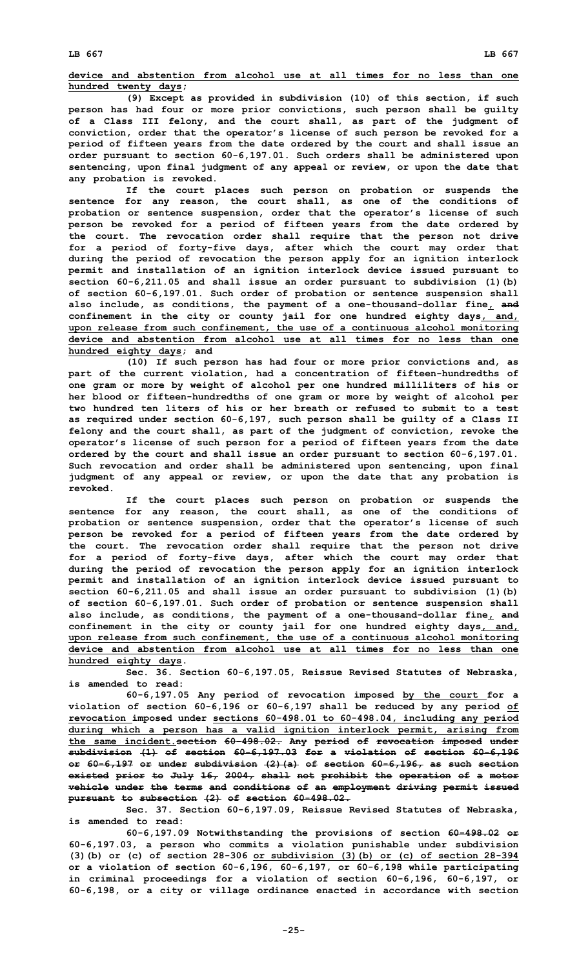**device and abstention from alcohol use at all times for no less than one hundred twenty days;**

**(9) Except as provided in subdivision (10) of this section, if such person has had four or more prior convictions, such person shall be guilty of <sup>a</sup> Class III felony, and the court shall, as part of the judgment of conviction, order that the operator's license of such person be revoked for <sup>a</sup> period of fifteen years from the date ordered by the court and shall issue an order pursuant to section 60-6,197.01. Such orders shall be administered upon sentencing, upon final judgment of any appeal or review, or upon the date that any probation is revoked.**

**If the court places such person on probation or suspends the sentence for any reason, the court shall, as one of the conditions of probation or sentence suspension, order that the operator's license of such person be revoked for <sup>a</sup> period of fifteen years from the date ordered by the court. The revocation order shall require that the person not drive for <sup>a</sup> period of forty-five days, after which the court may order that during the period of revocation the person apply for an ignition interlock permit and installation of an ignition interlock device issued pursuant to section 60-6,211.05 and shall issue an order pursuant to subdivision (1)(b) of section 60-6,197.01. Such order of probation or sentence suspension shall also include, as conditions, the payment of <sup>a</sup> one-thousand-dollar fine, and confinement in the city or county jail for one hundred eighty days, and, upon release from such confinement, the use of <sup>a</sup> continuous alcohol monitoring device and abstention from alcohol use at all times for no less than one hundred eighty days; and**

**(10) If such person has had four or more prior convictions and, as part of the current violation, had <sup>a</sup> concentration of fifteen-hundredths of one gram or more by weight of alcohol per one hundred milliliters of his or her blood or fifteen-hundredths of one gram or more by weight of alcohol per two hundred ten liters of his or her breath or refused to submit to a test as required under section 60-6,197, such person shall be guilty of <sup>a</sup> Class II felony and the court shall, as part of the judgment of conviction, revoke the operator's license of such person for <sup>a</sup> period of fifteen years from the date ordered by the court and shall issue an order pursuant to section 60-6,197.01. Such revocation and order shall be administered upon sentencing, upon final judgment of any appeal or review, or upon the date that any probation is revoked.**

**If the court places such person on probation or suspends the sentence for any reason, the court shall, as one of the conditions of probation or sentence suspension, order that the operator's license of such person be revoked for <sup>a</sup> period of fifteen years from the date ordered by the court. The revocation order shall require that the person not drive for <sup>a</sup> period of forty-five days, after which the court may order that during the period of revocation the person apply for an ignition interlock permit and installation of an ignition interlock device issued pursuant to section 60-6,211.05 and shall issue an order pursuant to subdivision (1)(b) of section 60-6,197.01. Such order of probation or sentence suspension shall also include, as conditions, the payment of <sup>a</sup> one-thousand-dollar fine, and confinement in the city or county jail for one hundred eighty days, and, upon release from such confinement, the use of <sup>a</sup> continuous alcohol monitoring device and abstention from alcohol use at all times for no less than one hundred eighty days.**

**Sec. 36. Section 60-6,197.05, Reissue Revised Statutes of Nebraska, is amended to read:**

**60-6,197.05 Any period of revocation imposed by the court for <sup>a</sup> violation of section 60-6,196 or 60-6,197 shall be reduced by any period of revocation imposed under sections 60-498.01 to 60-498.04, including any period during which <sup>a</sup> person has <sup>a</sup> valid ignition interlock permit, arising from the same incident.section 60-498.02. Any period of revocation imposed under subdivision (1) of section 60-6,197.03 for <sup>a</sup> violation of section 60-6,196 or 60-6,197 or under subdivision (2)(a) of section 60-6,196, as such section existed prior to July 16, 2004, shall not prohibit the operation of <sup>a</sup> motor vehicle under the terms and conditions of an employment driving permit issued pursuant to subsection (2) of section 60-498.02.**

**Sec. 37. Section 60-6,197.09, Reissue Revised Statutes of Nebraska, is amended to read:**

**60-6,197.09 Notwithstanding the provisions of section 60-498.02 or 60-6,197.03, <sup>a</sup> person who commits <sup>a</sup> violation punishable under subdivision (3)(b) or (c) of section 28-306 or subdivision (3)(b) or (c) of section 28-394 or <sup>a</sup> violation of section 60-6,196, 60-6,197, or 60-6,198 while participating in criminal proceedings for <sup>a</sup> violation of section 60-6,196, 60-6,197, or 60-6,198, or <sup>a</sup> city or village ordinance enacted in accordance with section**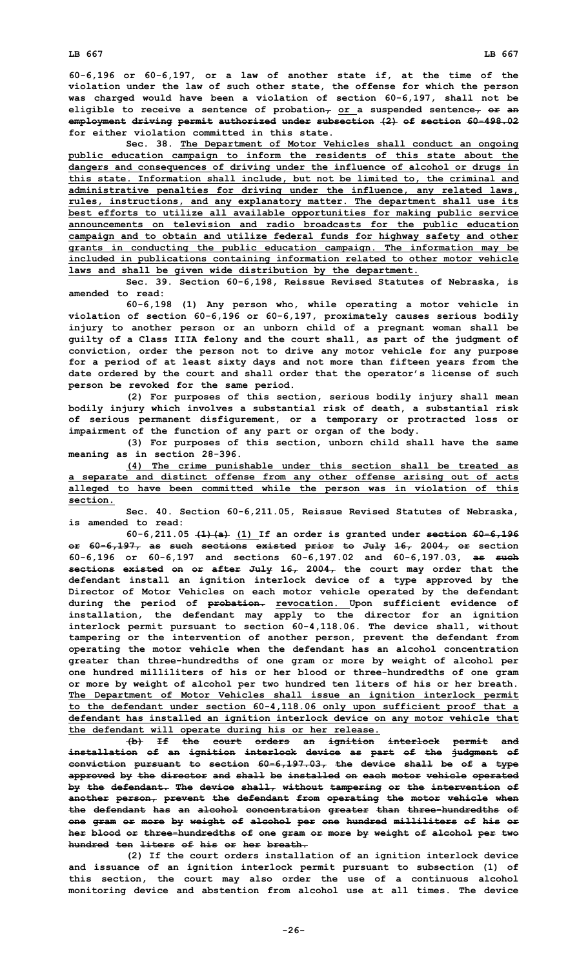**60-6,196 or 60-6,197, or <sup>a</sup> law of another state if, at the time of the violation under the law of such other state, the offense for which the person was charged would have been <sup>a</sup> violation of section 60-6,197, shall not be eligible to receive <sup>a</sup> sentence of probation, or <sup>a</sup> suspended sentence, or an employment driving permit authorized under subsection (2) of section 60-498.02 for either violation committed in this state.**

**Sec. 38. The Department of Motor Vehicles shall conduct an ongoing public education campaign to inform the residents of this state about the dangers and consequences of driving under the influence of alcohol or drugs in this state. Information shall include, but not be limited to, the criminal and administrative penalties for driving under the influence, any related laws, rules, instructions, and any explanatory matter. The department shall use its best efforts to utilize all available opportunities for making public service announcements on television and radio broadcasts for the public education campaign and to obtain and utilize federal funds for highway safety and other grants in conducting the public education campaign. The information may be included in publications containing information related to other motor vehicle laws and shall be given wide distribution by the department.**

**Sec. 39. Section 60-6,198, Reissue Revised Statutes of Nebraska, is amended to read:**

**60-6,198 (1) Any person who, while operating <sup>a</sup> motor vehicle in violation of section 60-6,196 or 60-6,197, proximately causes serious bodily injury to another person or an unborn child of <sup>a</sup> pregnant woman shall be guilty of <sup>a</sup> Class IIIA felony and the court shall, as part of the judgment of conviction, order the person not to drive any motor vehicle for any purpose for <sup>a</sup> period of at least sixty days and not more than fifteen years from the date ordered by the court and shall order that the operator's license of such person be revoked for the same period.**

**(2) For purposes of this section, serious bodily injury shall mean bodily injury which involves <sup>a</sup> substantial risk of death, <sup>a</sup> substantial risk of serious permanent disfigurement, or <sup>a</sup> temporary or protracted loss or impairment of the function of any part or organ of the body.**

**(3) For purposes of this section, unborn child shall have the same meaning as in section 28-396.**

**(4) The crime punishable under this section shall be treated as <sup>a</sup> separate and distinct offense from any other offense arising out of acts alleged to have been committed while the person was in violation of this section.**

**Sec. 40. Section 60-6,211.05, Reissue Revised Statutes of Nebraska, is amended to read:**

**60-6,211.05 (1)(a) (1) If an order is granted under section 60-6,196 or 60-6,197, as such sections existed prior to July 16, 2004, or section 60-6,196 or 60-6,197 and sections 60-6,197.02 and 60-6,197.03, as such sections existed on or after July 16, 2004, the court may order that the defendant install an ignition interlock device of <sup>a</sup> type approved by the Director of Motor Vehicles on each motor vehicle operated by the defendant during the period of probation. revocation. Upon sufficient evidence of installation, the defendant may apply to the director for an ignition interlock permit pursuant to section 60-4,118.06. The device shall, without tampering or the intervention of another person, prevent the defendant from operating the motor vehicle when the defendant has an alcohol concentration greater than three-hundredths of one gram or more by weight of alcohol per one hundred milliliters of his or her blood or three-hundredths of one gram or more by weight of alcohol per two hundred ten liters of his or her breath. The Department of Motor Vehicles shall issue an ignition interlock permit to the defendant under section 60-4,118.06 only upon sufficient proof that <sup>a</sup> defendant has installed an ignition interlock device on any motor vehicle that the defendant will operate during his or her release.**

**(b) If the court orders an ignition interlock permit and installation of an ignition interlock device as part of the judgment of conviction pursuant to section 60-6,197.03, the device shall be of <sup>a</sup> type approved by the director and shall be installed on each motor vehicle operated by the defendant. The device shall, without tampering or the intervention of another person, prevent the defendant from operating the motor vehicle when the defendant has an alcohol concentration greater than three-hundredths of one gram or more by weight of alcohol per one hundred milliliters of his or her blood or three-hundredths of one gram or more by weight of alcohol per two hundred ten liters of his or her breath.**

**(2) If the court orders installation of an ignition interlock device and issuance of an ignition interlock permit pursuant to subsection (1) of this section, the court may also order the use of <sup>a</sup> continuous alcohol monitoring device and abstention from alcohol use at all times. The device**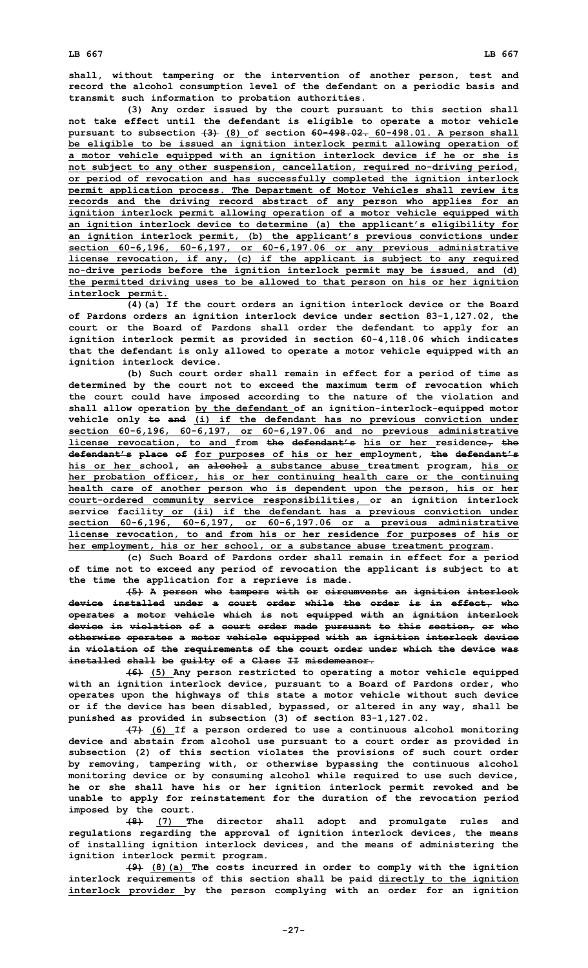**shall, without tampering or the intervention of another person, test and record the alcohol consumption level of the defendant on <sup>a</sup> periodic basis and transmit such information to probation authorities.**

**(3) Any order issued by the court pursuant to this section shall not take effect until the defendant is eligible to operate <sup>a</sup> motor vehicle pursuant to subsection (3) (8) of section 60-498.02. 60-498.01. <sup>A</sup> person shall be eligible to be issued an ignition interlock permit allowing operation of <sup>a</sup> motor vehicle equipped with an ignition interlock device if he or she is not subject to any other suspension, cancellation, required no-driving period, or period of revocation and has successfully completed the ignition interlock permit application process. The Department of Motor Vehicles shall review its records and the driving record abstract of any person who applies for an ignition interlock permit allowing operation of <sup>a</sup> motor vehicle equipped with an ignition interlock device to determine (a) the applicant's eligibility for an ignition interlock permit, (b) the applicant's previous convictions under section 60-6,196, 60-6,197, or 60-6,197.06 or any previous administrative license revocation, if any, (c) if the applicant is subject to any required no-drive periods before the ignition interlock permit may be issued, and (d) the permitted driving uses to be allowed to that person on his or her ignition interlock permit.**

**(4)(a) If the court orders an ignition interlock device or the Board of Pardons orders an ignition interlock device under section 83-1,127.02, the court or the Board of Pardons shall order the defendant to apply for an ignition interlock permit as provided in section 60-4,118.06 which indicates that the defendant is only allowed to operate <sup>a</sup> motor vehicle equipped with an ignition interlock device.**

**(b) Such court order shall remain in effect for <sup>a</sup> period of time as determined by the court not to exceed the maximum term of revocation which the court could have imposed according to the nature of the violation and shall allow operation by the defendant of an ignition-interlock-equipped motor vehicle only to and (i) if the defendant has no previous conviction under section 60-6,196, 60-6,197, or 60-6,197.06 and no previous administrative license revocation, to and from the defendant's his or her residence, the defendant's place of for purposes of his or her employment, the defendant's his or her school, an alcohol <sup>a</sup> substance abuse treatment program, his or her probation officer, his or her continuing health care or the continuing health care of another person who is dependent upon the person, his or her court-ordered community service responsibilities, or an ignition interlock service facility or (ii) if the defendant has <sup>a</sup> previous conviction under section 60-6,196, 60-6,197, or 60-6,197.06 or <sup>a</sup> previous administrative license revocation, to and from his or her residence for purposes of his or her employment, his or her school, or <sup>a</sup> substance abuse treatment program.**

**(c) Such Board of Pardons order shall remain in effect for <sup>a</sup> period of time not to exceed any period of revocation the applicant is subject to at the time the application for <sup>a</sup> reprieve is made.**

**(5) <sup>A</sup> person who tampers with or circumvents an ignition interlock device installed under <sup>a</sup> court order while the order is in effect, who operates <sup>a</sup> motor vehicle which is not equipped with an ignition interlock device in violation of <sup>a</sup> court order made pursuant to this section, or who otherwise operates <sup>a</sup> motor vehicle equipped with an ignition interlock device in violation of the requirements of the court order under which the device was installed shall be guilty of <sup>a</sup> Class II misdemeanor.**

**(6) (5) Any person restricted to operating <sup>a</sup> motor vehicle equipped with an ignition interlock device, pursuant to <sup>a</sup> Board of Pardons order, who operates upon the highways of this state <sup>a</sup> motor vehicle without such device or if the device has been disabled, bypassed, or altered in any way, shall be punished as provided in subsection (3) of section 83-1,127.02.**

**(7) (6) If <sup>a</sup> person ordered to use <sup>a</sup> continuous alcohol monitoring device and abstain from alcohol use pursuant to <sup>a</sup> court order as provided in subsection (2) of this section violates the provisions of such court order by removing, tampering with, or otherwise bypassing the continuous alcohol monitoring device or by consuming alcohol while required to use such device, he or she shall have his or her ignition interlock permit revoked and be unable to apply for reinstatement for the duration of the revocation period imposed by the court.**

**(8) (7) The director shall adopt and promulgate rules and regulations regarding the approval of ignition interlock devices, the means of installing ignition interlock devices, and the means of administering the ignition interlock permit program.**

**(9) (8)(a) The costs incurred in order to comply with the ignition interlock requirements of this section shall be paid directly to the ignition interlock provider by the person complying with an order for an ignition**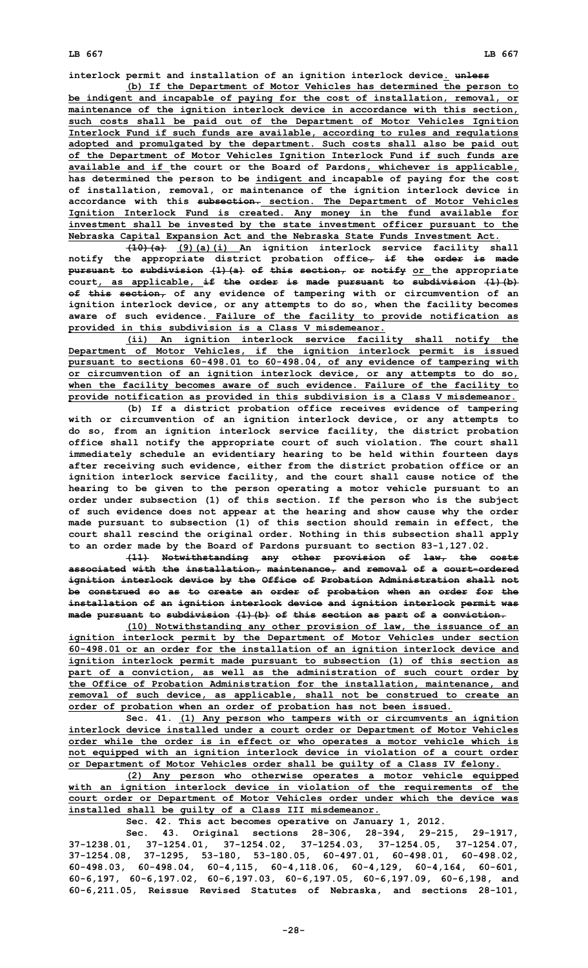**interlock permit and installation of an ignition interlock device. unless**

**(b) If the Department of Motor Vehicles has determined the person to be indigent and incapable of paying for the cost of installation, removal, or maintenance of the ignition interlock device in accordance with this section, such costs shall be paid out of the Department of Motor Vehicles Ignition Interlock Fund if such funds are available, according to rules and regulations adopted and promulgated by the department. Such costs shall also be paid out of the Department of Motor Vehicles Ignition Interlock Fund if such funds are available and if the court or the Board of Pardons, whichever is applicable, has determined the person to be indigent and incapable of paying for the cost of installation, removal, or maintenance of the ignition interlock device in accordance with this subsection. section. The Department of Motor Vehicles Ignition Interlock Fund is created. Any money in the fund available for investment shall be invested by the state investment officer pursuant to the Nebraska Capital Expansion Act and the Nebraska State Funds Investment Act.**

**(10)(a) (9)(a)(i) An ignition interlock service facility shall notify the appropriate district probation office, if the order is made pursuant to subdivision (1)(a) of this section, or notify or the appropriate court, as applicable, if the order is made pursuant to subdivision (1)(b) of this section, of any evidence of tampering with or circumvention of an ignition interlock device, or any attempts to do so, when the facility becomes aware of such evidence. Failure of the facility to provide notification as provided in this subdivision is <sup>a</sup> Class V misdemeanor.**

**(ii) An ignition interlock service facility shall notify the Department of Motor Vehicles, if the ignition interlock permit is issued pursuant to sections 60-498.01 to 60-498.04, of any evidence of tampering with or circumvention of an ignition interlock device, or any attempts to do so, when the facility becomes aware of such evidence. Failure of the facility to provide notification as provided in this subdivision is <sup>a</sup> Class V misdemeanor.**

**(b) If <sup>a</sup> district probation office receives evidence of tampering with or circumvention of an ignition interlock device, or any attempts to do so, from an ignition interlock service facility, the district probation office shall notify the appropriate court of such violation. The court shall immediately schedule an evidentiary hearing to be held within fourteen days after receiving such evidence, either from the district probation office or an ignition interlock service facility, and the court shall cause notice of the hearing to be given to the person operating <sup>a</sup> motor vehicle pursuant to an order under subsection (1) of this section. If the person who is the subject of such evidence does not appear at the hearing and show cause why the order made pursuant to subsection (1) of this section should remain in effect, the court shall rescind the original order. Nothing in this subsection shall apply to an order made by the Board of Pardons pursuant to section 83-1,127.02.**

**(11) Notwithstanding any other provision of law, the costs associated with the installation, maintenance, and removal of <sup>a</sup> court-ordered ignition interlock device by the Office of Probation Administration shall not be construed so as to create an order of probation when an order for the installation of an ignition interlock device and ignition interlock permit was made pursuant to subdivision (1)(b) of this section as part of <sup>a</sup> conviction.**

**(10) Notwithstanding any other provision of law, the issuance of an ignition interlock permit by the Department of Motor Vehicles under section 60-498.01 or an order for the installation of an ignition interlock device and ignition interlock permit made pursuant to subsection (1) of this section as part of <sup>a</sup> conviction, as well as the administration of such court order by the Office of Probation Administration for the installation, maintenance, and removal of such device, as applicable, shall not be construed to create an order of probation when an order of probation has not been issued.**

**Sec. 41. (1) Any person who tampers with or circumvents an ignition interlock device installed under <sup>a</sup> court order or Department of Motor Vehicles order while the order is in effect or who operates <sup>a</sup> motor vehicle which is not equipped with an ignition interlock device in violation of <sup>a</sup> court order or Department of Motor Vehicles order shall be guilty of <sup>a</sup> Class IV felony.**

**(2) Any person who otherwise operates <sup>a</sup> motor vehicle equipped with an ignition interlock device in violation of the requirements of the court order or Department of Motor Vehicles order under which the device was installed shall be guilty of <sup>a</sup> Class III misdemeanor.**

**Sec. 42. This act becomes operative on January 1, 2012.**

**Sec. 43. Original sections 28-306, 28-394, 29-215, 29-1917, 37-1238.01, 37-1254.01, 37-1254.02, 37-1254.03, 37-1254.05, 37-1254.07, 37-1254.08, 37-1295, 53-180, 53-180.05, 60-497.01, 60-498.01, 60-498.02, 60-498.03, 60-498.04, 60-4,115, 60-4,118.06, 60-4,129, 60-4,164, 60-601, 60-6,197, 60-6,197.02, 60-6,197.03, 60-6,197.05, 60-6,197.09, 60-6,198, and 60-6,211.05, Reissue Revised Statutes of Nebraska, and sections 28-101,**